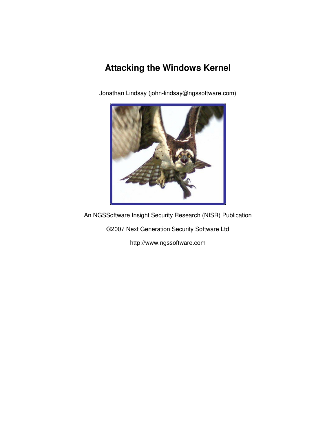# **Attacking the Windows Kernel**

Jonathan Lindsay (john-lindsay@ngssoftware.com)



An NGSSoftware Insight Security Research (NISR) Publication

©2007 Next Generation Security Software Ltd

http://www.ngssoftware.com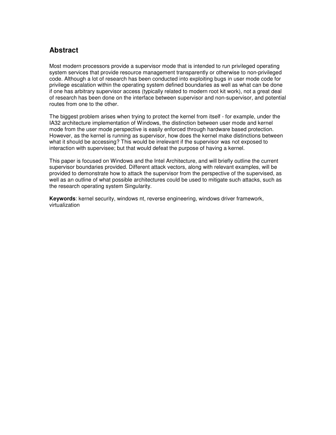### **Abstract**

Most modern processors provide a supervisor mode that is intended to run privileged operating system services that provide resource management transparently or otherwise to non-privileged code. Although a lot of research has been conducted into exploiting bugs in user mode code for privilege escalation within the operating system defined boundaries as well as what can be done if one has arbitrary supervisor access (typically related to modern root kit work), not a great deal of research has been done on the interface between supervisor and non-supervisor, and potential routes from one to the other.

The biggest problem arises when trying to protect the kernel from itself - for example, under the IA32 architecture implementation of Windows, the distinction between user mode and kernel mode from the user mode perspective is easily enforced through hardware based protection. However, as the kernel is running as supervisor, how does the kernel make distinctions between what it should be accessing? This would be irrelevant if the supervisor was not exposed to interaction with supervisee; but that would defeat the purpose of having a kernel.

This paper is focused on Windows and the Intel Architecture, and will briefly outline the current supervisor boundaries provided. Different attack vectors, along with relevant examples, will be provided to demonstrate how to attack the supervisor from the perspective of the supervised, as well as an outline of what possible architectures could be used to mitigate such attacks, such as the research operating system Singularity.

**Keywords**: kernel security, windows nt, reverse engineering, windows driver framework, virtualization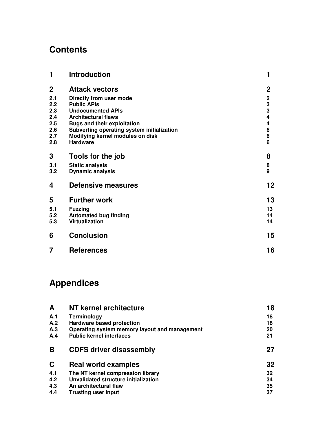# **Contents**

| 1           | <b>Introduction</b>                        | 1                                               |
|-------------|--------------------------------------------|-------------------------------------------------|
| $\mathbf 2$ | <b>Attack vectors</b>                      | $\mathbf 2$                                     |
| 2.1         | Directly from user mode                    |                                                 |
| 2.2         | <b>Public APIs</b>                         | $\begin{array}{c} 2 \\ 3 \\ 3 \\ 4 \end{array}$ |
| 2.3         | <b>Undocumented APIs</b>                   |                                                 |
| 2.4         | <b>Architectural flaws</b>                 |                                                 |
| 2.5         | <b>Bugs and their exploitation</b>         | 4                                               |
| 2.6         | Subverting operating system initialization | 6<br>6<br>6                                     |
| 2.7         | Modifying kernel modules on disk           |                                                 |
| 2.8         | <b>Hardware</b>                            |                                                 |
| 3           | Tools for the job                          | 8                                               |
| 3.1         | <b>Static analysis</b>                     | 8                                               |
| 3.2         | <b>Dynamic analysis</b>                    | 9                                               |
| 4           | <b>Defensive measures</b>                  | 12                                              |
| 5           | <b>Further work</b>                        | 13                                              |
| 5.1         | <b>Fuzzing</b>                             | 13                                              |
| 5.2         | <b>Automated bug finding</b>               | 14                                              |
| 5.3         | Virtualization                             | 14                                              |
| 6           | <b>Conclusion</b>                          | 15                                              |
| 7           | <b>References</b>                          | 16                                              |

# **Appendices**

| A   | NT kernel architecture                        | 18 |
|-----|-----------------------------------------------|----|
| A.1 | Terminology                                   | 18 |
| A.2 | <b>Hardware based protection</b>              | 18 |
| A.3 | Operating system memory layout and management | 20 |
| A.4 | <b>Public kernel interfaces</b>               | 21 |
| B   | <b>CDFS driver disassembly</b>                | 27 |
| C   | <b>Real world examples</b>                    | 32 |
| 4.1 | The NT kernel compression library             | 32 |
| 4.2 | Unvalidated structure initialization          | 34 |
| 4.3 | An architectural flaw                         | 35 |
| 4.4 | <b>Trusting user input</b>                    | 37 |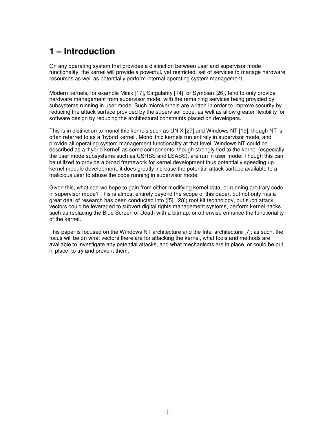# **1 – Introduction**

On any operating system that provides a distinction between user and supervisor mode functionality, the kernel will provide a powerful, yet restricted, set of services to manage hardware resources as well as potentially perform internal operating system management.

Modern kernels, for example Minix [17], Singularity [14], or Symbian [26], tend to only provide hardware management from supervisor mode, with the remaining services being provided by subsystems running in user mode. Such microkernels are written in order to improve security by reducing the attack surface provided by the supervisor code, as well as allow greater flexibility for software design by reducing the architectural constraints placed on developers.

This is in distinction to monolithic kernels such as UNIX [27] and Windows NT [19], though NT is often referred to as a 'hybrid kernel'. Monolithic kernels run entirely in supervisor mode, and provide all operating system management functionality at that level. Windows NT could be described as a 'hybrid kernel' as some components, though strongly tied to the kernel (especially the user mode subsystems such as CSRSS and LSASS), are run in user mode. Though this can be utilized to provide a broad framework for kernel development thus potentially speeding up kernel module development, it does greatly increase the potential attack surface available to a malicious user to abuse the code running in supervisor mode.

Given this, what can we hope to gain from either modifying kernel data, or running arbitrary code in supervisor mode? This is almost entirely beyond the scope of this paper, but not only has a great deal of research has been conducted into ([5], [28]) root kit technology, but such attack vectors could be leveraged to subvert digital rights management systems, perform kernel hacks such as replacing the Blue Screen of Death with a bitmap, or otherwise enhance the functionality of the kernel.

This paper is focused on the Windows NT architecture and the Intel architecture [7]; as such, the focus will be on what vectors there are for attacking the kernel, what tools and methods are available to investigate any potential attacks, and what mechanisms are in place, or could be put in place, to try and prevent them.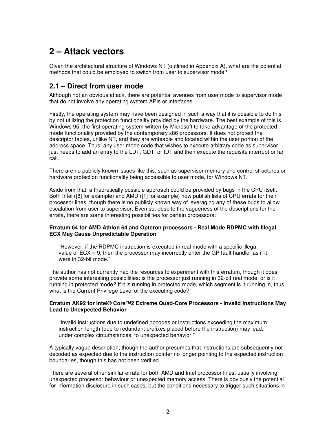# **2 – Attack vectors**

Given the architectural structure of Windows NT (outlined in Appendix A), what are the potential methods that could be employed to switch from user to supervisor mode?

### **2.1 – Direct from user mode**

Although not an obvious attack, there are potential avenues from user mode to supervisor mode that do not involve any operating system APIs or interfaces.

Firstly, the operating system may have been designed in such a way that it is possible to do this by not utilizing the protection functionality provided by the hardware. The best example of this is Windows 95, the first operating system written by Microsoft to take advantage of the protected mode functionality provided by the contemporary x86 processors. It does not protect the descriptor tables, unlike NT, and they are writeable and located within the user portion of the address space. Thus, any user mode code that wishes to execute arbitrary code as supervisor just needs to add an entry to the LDT, GDT, or IDT and then execute the requisite interrupt or far call.

There are no publicly known issues like this, such as supervisor memory and control structures or hardware protection functionality being accessible to user mode, for Windows NT.

Aside from that, a theoretically possible approach could be provided by bugs in the CPU itself. Both Intel ([8] for example) and AMD ([1] for example) now publish lists of CPU errata for their processor lines, though there is no publicly known way of leveraging any of these bugs to allow escalation from user to supervisor. Even so, despite the vagueness of the descriptions for the errata, there are some interesting possibilities for certain processors:

#### **Erratum 64 for AMD Athlon 64 and Opteron processors - Real Mode RDPMC with Illegal ECX May Cause Unpredictable Operation**

"However, if the RDPMC instruction is executed in real mode with a specific illegal value of  $ECX = 9$ , then the processor may incorrectly enter the GP fault handler as if it were in 32-bit mode."

The author has not currently had the resources to experiment with this erratum, though it does provide some interesting possibilities: is the processor just running in 32-bit real mode, or is it running in protected mode? If it is running in protected mode, which segment is it running in, thus what is the Current Privilege Level of the executing code?

#### **Erratum AK92 for Intel® Core™2 Extreme Quad-Core Processors - Invalid Instructions May Lead to Unexpected Behavior**

"Invalid instructions due to undefined opcodes or instructions exceeding the maximum instruction length (due to redundant prefixes placed before the instruction) may lead, under complex circumstances, to unexpected behavior."

A typically vague description, though the author presumes that instructions are subsequently not decoded as expected due to the instruction pointer no longer pointing to the expected instruction boundaries, though this has not been verified

There are several other similar errata for both AMD and Intel processor lines, usually involving unexpected processor behaviour or unexpected memory access. There is obviously the potential for information disclosure in such cases, but the conditions necessary to trigger such situations in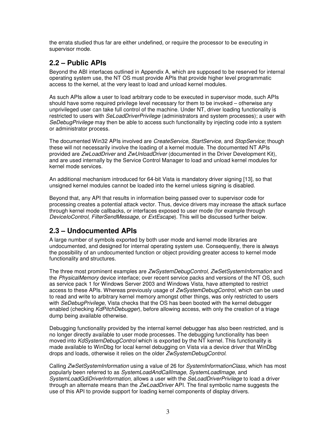the errata studied thus far are either undefined, or require the processor to be executing in supervisor mode.

## **2.2 – Public APIs**

Beyond the ABI interfaces outlined in Appendix A, which are supposed to be reserved for internal operating system use, the NT OS must provide APIs that provide higher level programmatic access to the kernel, at the very least to load and unload kernel modules.

As such APIs allow a user to load arbitrary code to be executed in supervisor mode, such APIs should have some required privilege level necessary for them to be invoked – otherwise any unprivileged user can take full control of the machine. Under NT, driver loading functionality is restricted to users with *SeLoadDriverPrivilege (administrators and system processes); a user with* SeDebugPrivilege may then be able to access such functionality by injecting code into a system or administrator process.

The documented Win32 APIs involved are CreateService, StartService, and StopService; though these will not necessarily involve the loading of a kernel module. The documented NT APIs provided are ZwLoadDriver and ZwUnloadDriver (documented in the Driver Development Kit), and are used internally by the Service Control Manager to load and unload kernel modules for kernel mode services.

An additional mechanism introduced for 64-bit Vista is mandatory driver signing [13], so that unsigned kernel modules cannot be loaded into the kernel unless signing is disabled.

Beyond that, any API that results in information being passed over to supervisor code for processing creates a potential attack vector. Thus, device drivers may increase the attack surface through kernel mode callbacks, or interfaces exposed to user mode (for example through DeviceIoControl, FilterSendMessage, or ExtEscape). This will be discussed further below.

## **2.3 – Undocumented APIs**

A large number of symbols exported by both user mode and kernel mode libraries are undocumented, and designed for internal operating system use. Consequently, there is always the possibility of an undocumented function or object providing greater access to kernel mode functionality and structures.

The three most prominent examples are ZwSystemDebugControl, ZwSetSystemInformation and the PhysicalMemory device interface; over recent service packs and versions of the NT OS, such as service pack 1 for Windows Server 2003 and Windows Vista, have attempted to restrict access to these APIs. Whereas previously usage of ZwSystemDebugControl, which can be used to read and write to arbitrary kernel memory amongst other things, was only restricted to users with SeDebugPrivilege, Vista checks that the OS has been booted with the kernel debugger enabled (checking KdPitchDebugger), before allowing access, with only the creation of a triage dump being available otherwise.

Debugging functionality provided by the internal kernel debugger has also been restricted, and is no longer directly available to user mode processes. The debugging functionality has been moved into KdSystemDebugControl which is exported by the NT kernel. This functionality is made available to WinDbg for local kernel debugging on Vista via a device driver that WinDbg drops and loads, otherwise it relies on the older ZwSystemDebugControl.

Calling ZwSetSystemInformation using a value of 26 for SystemInformationClass, which has most popularly been referred to as SystemLoadAndCallImage, SystemLoadImage, and SystemLoadGdiDriverInformation, allows a user with the SeLoadDriverPrivilege to load a driver through an alternate means than the *ZwLoadDriver* API. The final symbolic name suggests the use of this API to provide support for loading kernel components of display drivers.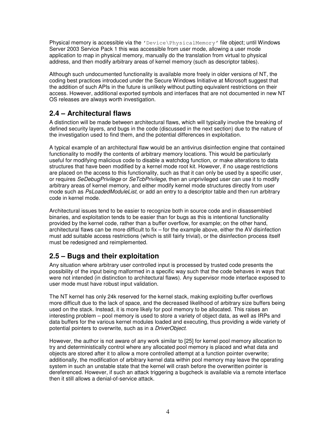Physical memory is accessible via the 'Device\PhysicalMemory' file object; until Windows Server 2003 Service Pack 1 this was accessible from user mode, allowing a user mode application to map in physical memory, manually do the translation from virtual to physical address, and then modify arbitrary areas of kernel memory (such as descriptor tables).

Although such undocumented functionality is available more freely in older versions of NT, the coding best practices introduced under the Secure Windows Initiative at Microsoft suggest that the addition of such APIs in the future is unlikely without putting equivalent restrictions on their access. However, additional exported symbols and interfaces that are not documented in new NT OS releases are always worth investigation.

## **2.4 – Architectural flaws**

A distinction will be made between architectural flaws, which will typically involve the breaking of defined security layers, and bugs in the code (discussed in the next section) due to the nature of the investigation used to find them, and the potential differences in exploitation.

A typical example of an architectural flaw would be an antivirus disinfection engine that contained functionality to modify the contents of arbitrary memory locations. This would be particularly useful for modifying malicious code to disable a watchdog function, or make alterations to data structures that have been modified by a kernel mode root kit. However, if no usage restrictions are placed on the access to this functionality, such as that it can only be used by a specific user, or requires SeDebugPrivilege or SeTcbPrivilege, then an unprivileged user can use it to modify arbitrary areas of kernel memory, and either modify kernel mode structures directly from user mode such as PsLoadedModuleList, or add an entry to a descriptor table and then run arbitrary code in kernel mode.

Architectural issues tend to be easier to recognize both in source code and in disassembled binaries, and exploitation tends to be easier than for bugs as this is intentional functionality provided by the kernel code, rather than a buffer overflow, for example; on the other hand, architectural flaws can be more difficult to fix – for the example above, either the AV disinfection must add suitable access restrictions (which is still fairly trivial), or the disinfection process itself must be redesigned and reimplemented.

## **2.5 – Bugs and their exploitation**

Any situation where arbitrary user controlled input is processed by trusted code presents the possibility of the input being malformed in a specific way such that the code behaves in ways that were not intended (in distinction to architectural flaws). Any supervisor mode interface exposed to user mode must have robust input validation.

The NT kernel has only 24k reserved for the kernel stack, making exploiting buffer overflows more difficult due to the lack of space, and the decreased likelihood of arbitrary size buffers being used on the stack. Instead, it is more likely for pool memory to be allocated. This raises an interesting problem – pool memory is used to store a variety of object data, as well as IRPs and data buffers for the various kernel modules loaded and executing, thus providing a wide variety of potential pointers to overwrite, such as in a DriverObject.

However, the author is not aware of any work similar to [25] for kernel pool memory allocation to try and deterministically control where any allocated pool memory is placed and what data and objects are stored after it to allow a more controlled attempt at a function pointer overwrite; additionally, the modification of arbitrary kernel data within pool memory may leave the operating system in such an unstable state that the kernel will crash before the overwritten pointer is dereferenced. However, if such an attack triggering a bugcheck is available via a remote interface then it still allows a denial-of-service attack.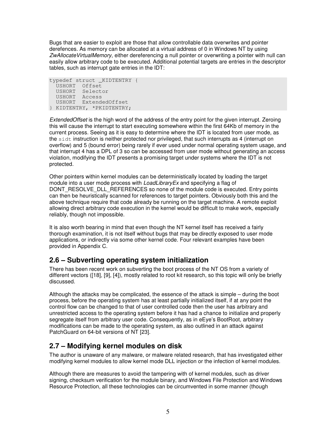Bugs that are easier to exploit are those that allow controllable data overwrites and pointer derefences. As memory can be allocated at a virtual address of 0 in Windows NT by using ZwAllocateVirtualMemory, either dereferencing a null pointer or overwriting a pointer with null can easily allow arbitrary code to be executed. Additional potential targets are entries in the descriptor tables, such as interrupt gate entries in the IDT:

```
typedef struct _KIDTENTRY { 
   USHORT Offset 
   USHORT Selector 
   USHORT Access 
   USHORT ExtendedOffset 
} KIDTENTRY, *PKIDTENTRY;
```
ExtendedOffset is the high word of the address of the entry point for the given interrupt. Zeroing this will cause the interrupt to start executing somewhere within the first 64Kb of memory in the current process. Seeing as it is easy to determine where the IDT is located from user mode, as the sidt instruction is neither protected nor privileged, that such interrupts as 4 (interrupt on overflow) and 5 (bound error) being rarely if ever used under normal operating system usage, and that interrupt 4 has a DPL of 3 so can be accessed from user mode without generating an access violation, modifying the IDT presents a promising target under systems where the IDT is not protected.

Other pointers within kernel modules can be deterministically located by loading the target module into a user mode process with LoadLibraryEx and specifying a flag of DONT\_RESOLVE\_DLL\_REFERENCES so none of the module code is executed. Entry points can then be heuristically scanned for references to target pointers. Obviously both this and the above technique require that code already be running on the target machine. A remote exploit allowing direct arbitrary code execution in the kernel would be difficult to make work, especially reliably, though not impossible.

It is also worth bearing in mind that even though the NT kernel itself has received a fairly thorough examination, it is not itself without bugs that may be directly exposed to user mode applications, or indirectly via some other kernel code. Four relevant examples have been provided in Appendix C.

## **2.6 – Subverting operating system initialization**

There has been recent work on subverting the boot process of the NT OS from a variety of different vectors ([18], [9], [4]), mostly related to root kit research, so this topic will only be briefly discussed.

Although the attacks may be complicated, the essence of the attack is simple – during the boot process, before the operating system has at least partially initialized itself, if at any point the control flow can be changed to that of user controlled code then the user has arbitrary and unrestricted access to the operating system before it has had a chance to initialize and properly segregate itself from arbitrary user code. Consequently, as in eEye's BootRoot, arbitrary modifications can be made to the operating system, as also outlined in an attack against PatchGuard on 64-bit versions of NT [23].

## **2.7 – Modifying kernel modules on disk**

The author is unaware of any malware, or malware related research, that has investigated either modifying kernel modules to allow kernel mode DLL injection or the infection of kernel modules.

Although there are measures to avoid the tampering with of kernel modules, such as driver signing, checksum verification for the module binary, and Windows File Protection and Windows Resource Protection, all these technologies can be circumvented in some manner (though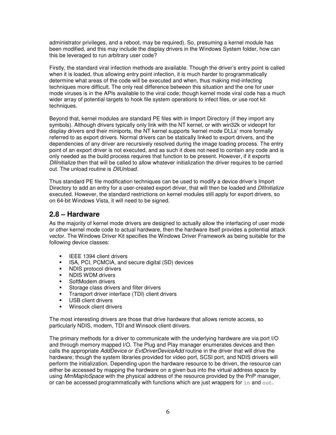administrator privileges, and a reboot, may be required). So, presuming a kernel module has been modified, and this may include the display drivers in the Windows System folder, how can this be leveraged to run arbitrary user code?

Firstly, the standard viral infection methods are available. Though the driver's entry point is called when it is loaded, thus allowing entry point infection, it is much harder to programmatically determine what areas of the code will be executed and when, thus making mid-infecting techniques more difficult. The only real difference between this situation and the one for user mode viruses is in the APIs available to the viral code; though kernel mode viral code has a much wider array of potential targets to hook file system operations to infect files, or use root kit techniques.

Beyond that, kernel modules are standard PE files with in Import Directory (if they import any symbols). Although drivers typically only link with the NT kernel, or with win32k or videoprt for display drivers and their miniports, the NT kernel supports 'kernel mode DLLs' more formally referred to as export drivers. Normal drivers can be statically linked to export drivers, and the dependencies of any driver are recursively resolved during the image loading process. The entry point of an export driver is not executed, and as such it does not need to contain any code and is only needed as the build process requires that function to be present. However, if it exports DllInitialize then that will be called to allow whatever initialization the driver requires to be carried out. The unload routine is DIIUnload.

Thus standard PE file modification techniques can be used to modify a device driver's Import Directory to add an entry for a user-created export driver, that will then be loaded and *Dilinitialize* executed. However, the standard restrictions on kernel modules still apply for export drivers, so on 64-bit Windows Vista, it will need to be signed.

### **2.8 – Hardware**

As the majority of kernel mode drivers are designed to actually allow the interfacing of user mode or other kernel mode code to actual hardware, then the hardware itself provides a potential attack vector. The Windows Driver Kit specifies the Windows Driver Framework as being suitable for the following device classes:

- **IEEE 1394 client drivers**
- ISA, PCI, PCMCIA, and secure digital (SD) devices
- **NDIS protocol drivers**
- **NDIS WDM drivers**
- SoftModem drivers
- **Storage class drivers and filter drivers**
- **Transport driver interface (TDI) client drivers**
- **USB** client drivers
- **Winsock client drivers**

The most interesting drivers are those that drive hardware that allows remote access, so particularly NDIS, modem, TDI and Winsock client drivers.

The primary methods for a driver to communicate with the underlying hardware are via port I/O and through memory mapped I/O. The Plug and Play manager enumerates devices and then calls the appropriate AddDevice or EvtDriverDeviceAdd routine in the driver that will drive the hardware; though the system libraries provided for video port, SCSI port, and NDIS drivers will perform the initialization. Depending upon the hardware resource to be driven, the resource can either be accessed by mapping the hardware on a given bus into the virtual address space by using MmMaploSpace with the physical address of the resource provided by the PnP manager, or can be accessed programmatically with functions which are just wrappers for  $\text{in}$  and  $\text{out}$ .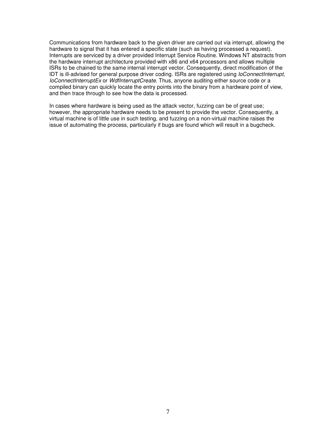Communications from hardware back to the given driver are carried out via interrupt, allowing the hardware to signal that it has entered a specific state (such as having processed a request). Interrupts are serviced by a driver provided Interrupt Service Routine. Windows NT abstracts from the hardware interrupt architecture provided with x86 and x64 processors and allows multiple ISRs to be chained to the same internal interrupt vector. Consequently, direct modification of the IDT is ill-advised for general purpose driver coding. ISRs are registered using IoConnectInterrupt, IoConnectInterruptEx or WdfInterruptCreate. Thus, anyone auditing either source code or a compiled binary can quickly locate the entry points into the binary from a hardware point of view, and then trace through to see how the data is processed.

In cases where hardware is being used as the attack vector, fuzzing can be of great use; however, the appropriate hardware needs to be present to provide the vector. Consequently, a virtual machine is of little use in such testing, and fuzzing on a non-virtual machine raises the issue of automating the process, particularly if bugs are found which will result in a bugcheck.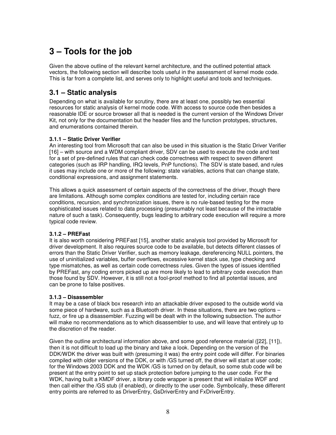# **3 – Tools for the job**

Given the above outline of the relevant kernel architecture, and the outlined potential attack vectors, the following section will describe tools useful in the assessment of kernel mode code. This is far from a complete list, and serves only to highlight useful and tools and techniques.

### **3.1 – Static analysis**

Depending on what is available for scrutiny, there are at least one, possibly two essential resources for static analysis of kernel mode code. With access to source code then besides a reasonable IDE or source browser all that is needed is the current version of the Windows Driver Kit, not only for the documentation but the header files and the function prototypes, structures, and enumerations contained therein.

### **3.1.1 – Static Driver Verifier**

An interesting tool from Microsoft that can also be used in this situation is the Static Driver Verifier [16] – with source and a WDM compliant driver, SDV can be used to execute the code and test for a set of pre-defined rules that can check code correctness with respect to seven different categories (such as IRP handling, IRQ levels, PnP functions). The SDV is state based, and rules it uses may include one or more of the following: state variables, actions that can change state, conditional expressions, and assignment statements.

This allows a quick assessment of certain aspects of the correctness of the driver, though there are limitations. Although some complex conditions are tested for, including certain race conditions, recursion, and synchronization issues, there is no rule-based testing for the more sophisticated issues related to data processing (presumably not least because of the intractable nature of such a task). Consequently, bugs leading to arbitrary code execution will require a more typical code review.

### **3.1.2 – PREFast**

It is also worth considering PREFast [15], another static analysis tool provided by Microsoft for driver development. It also requires source code to be available, but detects different classes of errors than the Static Driver Verifier, such as memory leakage, dereferencing NULL pointers, the use of uninitialized variables, buffer overflows, excessive kernel stack use, type checking and type mismatches, as well as certain code correctness rules. Given the types of issues identified by PREFast, any coding errors picked up are more likely to lead to arbitrary code execution than those found by SDV. However, it is still not a fool-proof method to find all potential issues, and can be prone to false positives.

### **3.1.3 – Disassembler**

It may be a case of black box research into an attackable driver exposed to the outside world via some piece of hardware, such as a Bluetooth driver. In these situations, there are two options – fuzz, or fire up a disassembler. Fuzzing will be dealt with in the following subsection. The author will make no recommendations as to which disassembler to use, and will leave that entirely up to the discretion of the reader.

Given the outline architectural information above, and some good reference material ([22], [11]), then it is not difficult to load up the binary and take a look. Depending on the version of the DDK/WDK the driver was built with (presuming it was) the entry point code will differ. For binaries compiled with older versions of the DDK, or with /GS turned off, the driver will start at user code; for the Windows 2003 DDK and the WDK /GS is turned on by default, so some stub code will be present at the entry point to set up stack protection before jumping to the user code. For the WDK, having built a KMDF driver, a library code wrapper is present that will initialize WDF and then call either the /GS stub (if enabled), or directly to the user code. Symbolically, these different entry points are referred to as DriverEntry, GsDriverEntry and FxDriverEntry.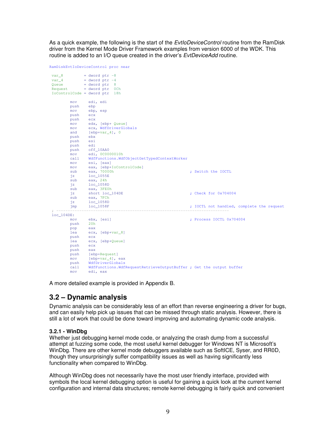As a quick example, the following is the start of the EvtloDeviceControl routine from the RamDisk driver from the Kernel Mode Driver Framework examples from version 6000 of the WDK. This routine is added to an I/O queue created in the driver's *EvtDeviceAdd* routine.

```
RamDiskEvtIoDeviceControl proc near
var_8 = dword ptr -8<br>var_4 = dword ptr -4= dword ptr -4Queue = dword ptr 8 
Request = dword ptr 0Ch 
IoControlCode = dword ptr 18h 
         mov edi, edi
        push
         mov ebp, esp
         push ecx
         push ecx
        mov edx, [ebp+ Queue]<br>mov ecx, WdfDriverGlo
        mov ecx, WdfDriverGlobals<br>and [ebp+var 4], 0
                [ebp+var_4], 0 push ebx
         push esi
         push edi
         push off_10AA0
         mov edi, 0C0000010h
        mov call WdfFunctions.WdfObjectGetTypedContextWorker<br>mov esi, [eax]
                esi, [eax]
        mov eax, [ebp+IoControlCode]<br>sub eax, 70000h
                                                              ; Switch the IOCTL
         sub eax, 70000h<br>jz loc_1055E<br>sub eax, 24h
                eax, 24hjz loc_1058D<br>sub eax, 3FE0
                eax, 3FE0h<br>short loc_104DE
          jz short loc_104DE ; Check for 0x704004 
sub eax, 7FCh<br>jz loc_1058D
         jmp loc_1058F \qquad \qquad ; IOCTL not handled, complete the request
 ; --------------------------------------------------------------------------- 
loc_104DE: 
                ebx, [esi] ; Process IOCTL 0x704004<br>20h
        push
         pop eax
          lea ecx, [ebp+var_8]
          push ecx
         .<br>lea ecx, [ebp+Queue]
         push ecx
         push eax
        push [ebp+Request]
         mov [ebp+var_4], eax
         push WdfDriverGlobals 
          call WdfFunctions.WdfRequestRetrieveOutputBuffer ; Get the output buffer 
         mov edi, eax
```
A more detailed example is provided in Appendix B.

### **3.2 – Dynamic analysis**

Dynamic analysis can be considerably less of an effort than reverse engineering a driver for bugs, and can easily help pick up issues that can be missed through static analysis. However, there is still a lot of work that could be done toward improving and automating dynamic code analysis.

#### **3.2.1 - WinDbg**

Whether just debugging kernel mode code, or analyzing the crash dump from a successful attempt at fuzzing some code, the most useful kernel debugger for Windows NT is Microsoft's WinDbg. There are other kernel mode debuggers available such as SoftICE, Syser, and RR0D, though they unsurprisingly suffer compatibility issues as well as having significantly less functionality when compared to WinDbg.

Although WinDbg does not necessarily have the most user friendly interface, provided with symbols the local kernel debugging option is useful for gaining a quick look at the current kernel configuration and internal data structures; remote kernel debugging is fairly quick and convenient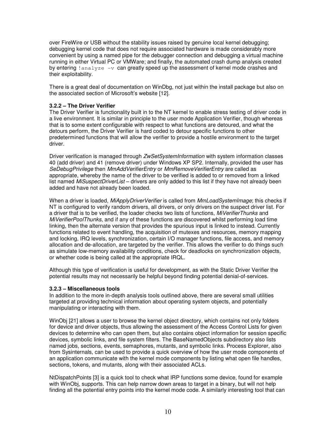over FireWire or USB without the stability issues raised by genuine local kernel debugging; debugging kernel code that does not require associated hardware is made considerably more convenient by using a named pipe for the debugger connection and debugging a virtual machine running in either Virtual PC or VMWare; and finally, the automated crash dump analysis created by entering  $l$  analyze  $-v$  can greatly speed up the assessment of kernel mode crashes and their exploitability.

There is a great deal of documentation on WinDbg, not just within the install package but also on the associated section of Microsoft's website [12].

#### **3.2.2 – The Driver Verifier**

The Driver Verifier is functionality built in to the NT kernel to enable stress testing of driver code in a live environment. It is similar in principle to the user mode Application Verifier, though whereas that is to some extent configurable with respect to what functions are detoured, and what the detours perform, the Driver Verifier is hard coded to detour specific functions to other predetermined functions that will allow the verifier to provide a hostile environment to the target driver.

Driver verification is managed through ZwSetSystemInformation with system information classes 40 (add driver) and 41 (remove driver) under Windows XP SP2. Internally, provided the user has SeDebugPrivilege then MmAddVerifierEntry or MmRemoveVerifierEntry are called as appropriate, whereby the name of the driver to be verified is added to or removed from a linked list named MiSuspectDriverList – drivers are only added to this list if they have not already been added and have not already been loaded.

When a driver is loaded, MiApplyDriverVerifier is called from MmLoadSystemImage; this checks if NT is configured to verify random drivers, all drivers, or only drivers on the suspect driver list. For a driver that is to be verified, the loader checks two lists of functions, *MiVerifierThunks* and MiVerifierPoolThunks, and if any of these functions are discovered whilst performing load time linking, then the alternate version that provides the spurious input is linked to instead. Currently functions related to event handling, the acquisition of mutexes and resources, memory mapping and locking, IRQ levels, synchronization, certain I/O manager functions, file access, and memory allocation and de-allocation, are targeted by the verifier. This allows the verifier to do things such as simulate low-memory availability conditions, check for deadlocks on synchronization objects, or whether code is being called at the appropriate IRQL.

Although this type of verification is useful for development, as with the Static Driver Verifier the potential results may not necessarily be helpful beyond finding potential denial-of-services.

#### **3.2.3 – Miscellaneous tools**

In addition to the more in-depth analysis tools outlined above, there are several small utilities targeted at providing technical information about operating system objects, and potentially manipulating or interacting with them.

WinObj [21] allows a user to browse the kernel object directory, which contains not only folders for device and driver objects, thus allowing the assessment of the Access Control Lists for given devices to determine who can open them, but also contains object information for session specific devices, symbolic links, and file system filters. The BaseNamedObjects subdirectory also lists named jobs, sections, events, semaphores, mutants, and symbolic links. Process Explorer, also from Sysinternals, can be used to provide a quick overview of how the user mode components of an application communicate with the kernel mode components by listing what open file handles, sections, tokens, and mutants, along with their associated ACLs.

NtDispatchPoints [3] is a quick tool to check what IRP functions some device, found for example with WinObj, supports. This can help narrow down areas to target in a binary, but will not help finding all the potential entry points into the kernel mode code. A similarly interesting tool that can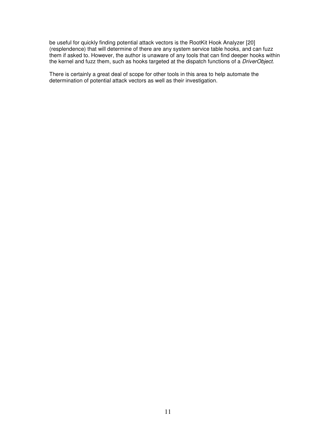be useful for quickly finding potential attack vectors is the RootKit Hook Analyzer [20] (resplendence) that will determine of there are any system service table hooks, and can fuzz them if asked to. However, the author is unaware of any tools that can find deeper hooks within the kernel and fuzz them, such as hooks targeted at the dispatch functions of a *DriverObject*.

There is certainly a great deal of scope for other tools in this area to help automate the determination of potential attack vectors as well as their investigation.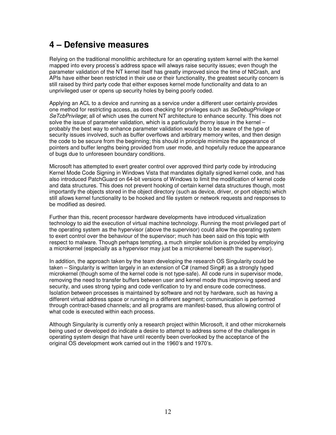## **4 – Defensive measures**

Relying on the traditional monolithic architecture for an operating system kernel with the kernel mapped into every process's address space will always raise security issues; even though the parameter validation of the NT kernel itself has greatly improved since the time of NtCrash, and APIs have either been restricted in their use or their functionality, the greatest security concern is still raised by third party code that either exposes kernel mode functionality and data to an unprivileged user or opens up security holes by being poorly coded.

Applying an ACL to a device and running as a service under a different user certainly provides one method for restricting access, as does checking for privileges such as SeDebugPrivilege or SeTcbPrivilege; all of which uses the current NT architecture to enhance security. This does not solve the issue of parameter validation, which is a particularly thorny issue in the kernel – probably the best way to enhance parameter validation would be to be aware of the type of security issues involved, such as buffer overflows and arbitrary memory writes, and then design the code to be secure from the beginning; this should in principle minimize the appearance of pointers and buffer lengths being provided from user mode, and hopefully reduce the appearance of bugs due to unforeseen boundary conditions.

Microsoft has attempted to exert greater control over approved third party code by introducing Kernel Mode Code Signing in Windows Vista that mandates digitally signed kernel code, and has also introduced PatchGuard on 64-bit versions of Windows to limit the modification of kernel code and data structures. This does not prevent hooking of certain kernel data structures though, most importantly the objects stored in the object directory (such as device, driver, or port objects) which still allows kernel functionality to be hooked and file system or network requests and responses to be modified as desired.

Further than this, recent processor hardware developments have introduced virtualization technology to aid the execution of virtual machine technology. Running the most privileged part of the operating system as the hypervisor (above the supervisor) could allow the operating system to exert control over the behaviour of the supervisor; much has been said on this topic with respect to malware. Though perhaps tempting, a much simpler solution is provided by employing a microkernel (especially as a hypervisor may just be a microkernel beneath the supervisor).

In addition, the approach taken by the team developing the research OS Singularity could be taken – Singularity is written largely in an extension of C# (named Sing#) as a strongly typed microkernel (though some of the kernel code is not type-safe). All code runs in supervisor mode, removing the need to transfer buffers between user and kernel mode thus improving speed and security, and uses strong typing and code verification to try and ensure code correctness. Isolation between processes is maintained by software and not by hardware, such as having a different virtual address space or running in a different segment; communication is performed through contract-based channels; and all programs are manifest-based, thus allowing control of what code is executed within each process.

Although Singularity is currently only a research project within Microsoft, it and other microkernels being used or developed do indicate a desire to attempt to address some of the challenges in operating system design that have until recently been overlooked by the acceptance of the original OS development work carried out in the 1960's and 1970's.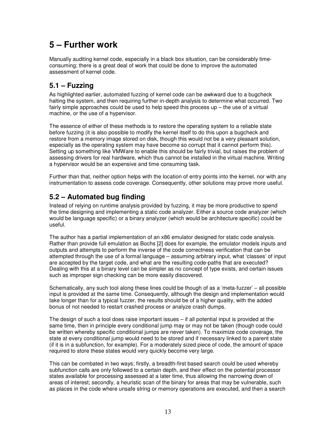# **5 – Further work**

Manually auditing kernel code, especially in a black box situation, can be considerably timeconsuming; there is a great deal of work that could be done to improve the automated assessment of kernel code.

## **5.1 – Fuzzing**

As highlighted earlier, automated fuzzing of kernel code can be awkward due to a bugcheck halting the system, and then requiring further in-depth analysis to determine what occurred. Two fairly simple approaches could be used to help speed this process up – the use of a virtual machine, or the use of a hypervisor.

The essence of either of these methods is to restore the operating system to a reliable state before fuzzing (it is also possible to modify the kernel itself to do this upon a bugcheck and restore from a memory image stored on disk, though this would not be a very pleasant solution, especially as the operating system may have become so corrupt that it cannot perform this). Setting up something like VMWare to enable this should be fairly trivial, but raises the problem of assessing drivers for real hardware, which thus cannot be installed in the virtual machine. Writing a hypervisor would be an expensive and time consuming task.

Further than that, neither option helps with the location of entry points into the kernel, nor with any instrumentation to assess code coverage. Consequently, other solutions may prove more useful.

## **5.2 – Automated bug finding**

Instead of relying on runtime analysis provided by fuzzing, it may be more productive to spend the time designing and implementing a static code analyzer. Either a source code analyzer (which would be language specific) or a binary analyzer (which would be architecture specific) could be useful.

The author has a partial implementation of an x86 emulator designed for static code analysis. Rather than provide full emulation as Bochs [2] does for example, the emulator models inputs and outputs and attempts to perform the inverse of the code correctness verification that can be attempted through the use of a formal language – assuming arbitrary input, what 'classes' of input are accepted by the target code, and what are the resulting code-paths that are executed? Dealing with this at a binary level can be simpler as no concept of type exists, and certain issues such as improper sign checking can be more easily discovered.

Schematically, any such tool along these lines could be though of as a 'meta-fuzzer' – all possible input is provided at the same time. Consequently, although the design and implementation would take longer than for a typical fuzzer, the results should be of a higher quality, with the added bonus of not needed to restart crashed process or analyze crash dumps.

The design of such a tool does raise important issues – if all potential input is provided at the same time, then in principle every conditional jump may or may not be taken (though code could be written whereby specific conditional jumps are never taken). To maximize code coverage, the state at every conditional jump would need to be stored and if necessary linked to a parent state (if it is in a subfunction, for example). For a moderately sized piece of code, the amount of space required to store these states would very quickly become very large.

This can be combated in two ways; firstly, a breadth-first based search could be used whereby subfunction calls are only followed to a certain depth, and their effect on the potential processor states available for processing assessed at a later time, thus allowing the narrowing down of areas of interest; secondly, a heuristic scan of the binary for areas that may be vulnerable, such as places in the code where unsafe string or memory operations are executed, and then a search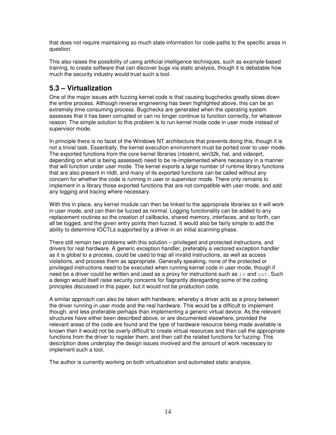that does not require maintaining so much state information for code-paths to the specific areas in question.

This also raises the possibility of using artificial intelligence techniques, such as example-based training, to create software that can discover bugs via static analysis, though it is debatable how much the security industry would trust such a tool.

## **5.3 – Virtualization**

One of the major issues with fuzzing kernel code is that causing bugchecks greatly slows down the entire process. Although reverse engineering has been highlighted above, this can be an extremely time consuming process. Bugchecks are generated when the operating system assesses that it has been corrupted or can no longer continue to function correctly, for whatever reason. The simple solution to this problem is to run kernel mode code in user mode instead of supervisor mode.

In principle there is no facet of the Windows NT architecture that prevents doing this, though it is not a trivial task. Essentially, the kernel execution environment must be ported over to user mode. The exported functions from the core kernel libraries (ntoskrnl, win32k, hal, and videoprt, depending on what is being assessed) need to be re-implemented where necessary in a manner that will function under user mode. The kernel exports a large number of runtime library functions that are also present in ntdll, and many of its exported functions can be called without any concern for whether the code is running in user or supervisor mode. There only remains to implement in a library those exported functions that are not compatible with user mode, and add any logging and tracing where necessary.

With this in place, any kernel module can then be linked to the appropriate libraries so it will work in user mode, and can then be fuzzed as normal. Logging functionality can be added to any replacement routines so the creation of callbacks, shared memory, interfaces, and so forth, can all be logged, and the given entry points then fuzzed. It would also be fairly simple to add the ability to determine IOCTLs supported by a driver in an initial scanning phase.

There still remain two problems with this solution – privileged and protected instructions, and drivers for real hardware. A generic exception handler, preferably a vectored exception handler as it is global to a process, could be used to trap all invalid instructions, as well as access violations, and process them as appropriate. Generally speaking, none of the protected or privileged instructions need to be executed when running kernel code in user mode, though if need be a driver could be written and used as a proxy for instructions such as in and  $\text{out}$ . Such a design would itself raise security concerns for flagrantly disregarding some of the coding principles discussed in this paper, but it would not be production code.

A similar approach can also be taken with hardware, whereby a driver acts as a proxy between the driver running in user mode and the real hardware. This would be a difficult to implement though, and less preferable perhaps than implementing a generic virtual device. As the relevant structures have either been described above, or are documented elsewhere, provided the relevant areas of the code are found and the type of hardware resource being made available is known then it would not be overly difficult to create virtual resources and then call the appropriate functions from the driver to register them, and then call the related functions for fuzzing. This description does underplay the design issues involved and the amount of work necessary to implement such a tool.

The author is currently working on both virtualization and automated static analysis.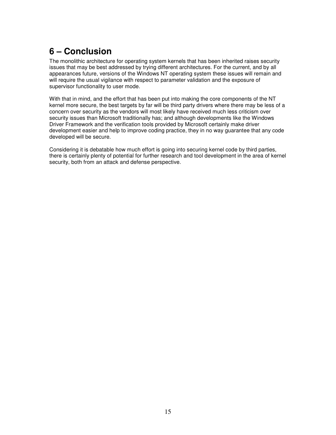# **6 – Conclusion**

The monolithic architecture for operating system kernels that has been inherited raises security issues that may be best addressed by trying different architectures. For the current, and by all appearances future, versions of the Windows NT operating system these issues will remain and will require the usual vigilance with respect to parameter validation and the exposure of supervisor functionality to user mode.

With that in mind, and the effort that has been put into making the core components of the NT kernel more secure, the best targets by far will be third party drivers where there may be less of a concern over security as the vendors will most likely have received much less criticism over security issues than Microsoft traditionally has; and although developments like the Windows Driver Framework and the verification tools provided by Microsoft certainly make driver development easier and help to improve coding practice, they in no way guarantee that any code developed will be secure.

Considering it is debatable how much effort is going into securing kernel code by third parties, there is certainly plenty of potential for further research and tool development in the area of kernel security, both from an attack and defense perspective.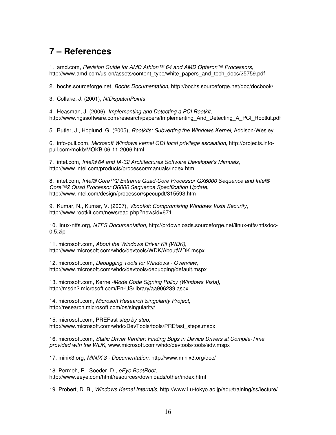## **7 – References**

1. amd.com, Revision Guide for AMD Athlon™ 64 and AMD Opteron™ Processors, http://www.amd.com/us-en/assets/content\_type/white\_papers\_and\_tech\_docs/25759.pdf

2. bochs.sourceforge.net, Bochs Documentation, http://bochs.sourceforge.net/doc/docbook/

3. Collake, J. (2001), NtDispatchPoints

4. Heasman, J. (2006), Implementing and Detecting a PCI Rootkit, http://www.ngssoftware.com/research/papers/Implementing\_And\_Detecting\_A\_PCI\_Rootkit.pdf

5. Butler, J., Hoglund, G. (2005), Rootkits: Subverting the Windows Kernel, Addison-Wesley

6. info-pull.com, Microsoft Windows kernel GDI local privilege escalation, http://projects.infopull.com/mokb/MOKB-06-11-2006.html

7. intel.com, Intel® 64 and IA-32 Architectures Software Developer's Manuals, http://www.intel.com/products/processor/manuals/index.htm

8. intel.com, Intel® Core™2 Extreme Quad-Core Processor QX6000 Sequence and Intel® Core™2 Quad Processor Q6000 Sequence Specification Update, http://www.intel.com/design/processor/specupdt/315593.htm

9. Kumar, N., Kumar, V. (2007), Vbootkit: Compromising Windows Vista Security, http://www.rootkit.com/newsread.php?newsid=671

10. linux-ntfs.org, NTFS Documentation, http://prdownloads.sourceforge.net/linux-ntfs/ntfsdoc-0.5.zip

11. microsoft.com, About the Windows Driver Kit (WDK), http://www.microsoft.com/whdc/devtools/WDK/AboutWDK.mspx

12. microsoft.com, Debugging Tools for Windows - Overview, http://www.microsoft.com/whdc/devtools/debugging/default.mspx

13. microsoft.com, Kernel-Mode Code Signing Policy (Windows Vista), http://msdn2.microsoft.com/En-US/library/aa906239.aspx

14. microsoft.com, Microsoft Research Singularity Project, http://research.microsoft.com/os/singularity/

15. microsoft.com, PREFast step by step, http://www.microsoft.com/whdc/DevTools/tools/PREfast\_steps.mspx

16. microsoft.com, Static Driver Verifier: Finding Bugs in Device Drivers at Compile-Time provided with the WDK, www.microsoft.com/whdc/devtools/tools/sdv.mspx

17. minix3.org, MINIX 3 - Documentation, http://www.minix3.org/doc/

18. Permeh, R., Soeder, D., eEye BootRoot, http://www.eeye.com/html/resources/downloads/other/index.html

19. Probert, D. B., Windows Kernel Internals, http://www.i.u-tokyo.ac.jp/edu/training/ss/lecture/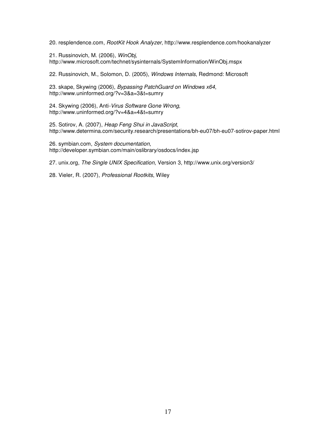20. resplendence.com, RootKit Hook Analyzer, http://www.resplendence.com/hookanalyzer

21. Russinovich, M. (2006), WinObj, http://www.microsoft.com/technet/sysinternals/SystemInformation/WinObj.mspx

22. Russinovich, M., Solomon, D. (2005), Windows Internals, Redmond: Microsoft

23. skape, Skywing (2006), Bypassing PatchGuard on Windows x64, http://www.uninformed.org/?v=3&a=3&t=sumry

24. Skywing (2006), Anti-Virus Software Gone Wrong, http://www.uninformed.org/?v=4&a=4&t=sumry

25. Sotirov, A. (2007), Heap Feng Shui in JavaScript, http://www.determina.com/security.research/presentations/bh-eu07/bh-eu07-sotirov-paper.html

26. symbian.com, System documentation, http://developer.symbian.com/main/oslibrary/osdocs/index.jsp

27. unix.org, The Single UNIX Specification, Version 3, http://www.unix.org/version3/

28. Vieler, R. (2007), Professional Rootkits, Wiley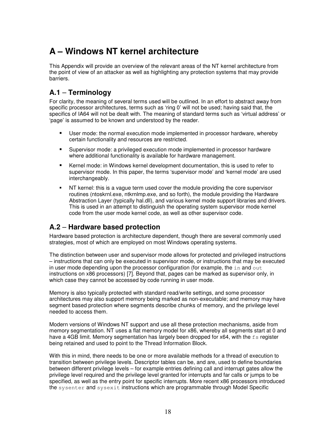# **A – Windows NT kernel architecture**

This Appendix will provide an overview of the relevant areas of the NT kernel architecture from the point of view of an attacker as well as highlighting any protection systems that may provide barriers.

### **A.1** – **Terminology**

For clarity, the meaning of several terms used will be outlined. In an effort to abstract away from specific processor architectures, terms such as 'ring 0' will not be used; having said that, the specifics of IA64 will not be dealt with. The meaning of standard terms such as 'virtual address' or 'page' is assumed to be known and understood by the reader.

- User mode: the normal execution mode implemented in processor hardware, whereby certain functionality and resources are restricted.
- Supervisor mode: a privileged execution mode implemented in processor hardware where additional functionality is available for hardware management.
- Kernel mode: in Windows kernel development documentation, this is used to refer to supervisor mode. In this paper, the terms 'supervisor mode' and 'kernel mode' are used interchangeably.
- NT kernel: this is a vague term used cover the module providing the core supervisor routines (ntoskrnl.exe, ntkrnlmp.exe, and so forth), the module providing the Hardware Abstraction Layer (typically hal.dll), and various kernel mode support libraries and drivers. This is used in an attempt to distinguish the operating system supervisor mode kernel code from the user mode kernel code, as well as other supervisor code.

### **A.2** – **Hardware based protection**

Hardware based protection is architecture dependent, though there are several commonly used strategies, most of which are employed on most Windows operating systems.

The distinction between user and supervisor mode allows for protected and privileged instructions – instructions that can only be executed in supervisor mode, or instructions that may be executed in user mode depending upon the processor configuration (for example, the  $\sin$  and  $\cot$ instructions on x86 processors) [7]. Beyond that, pages can be marked as supervisor only, in which case they cannot be accessed by code running in user mode.

Memory is also typically protected with standard read/write settings, and some processor architectures may also support memory being marked as non-executable; and memory may have segment based protection where segments describe chunks of memory, and the privilege level needed to access them.

Modern versions of Windows NT support and use all these protection mechanisms, aside from memory segmentation. NT uses a flat memory model for x86, whereby all segments start at 0 and have a 4GB limit. Memory segmentation has largely been dropped for  $x64$ , with the  $fs$  register being retained and used to point to the Thread Information Block.

With this in mind, there needs to be one or more available methods for a thread of execution to transition between privilege levels. Descriptor tables can be, and are, used to define boundaries between different privilege levels – for example entries defining call and interrupt gates allow the privilege level required and the privilege level granted for interrupts and far calls or jumps to be specified, as well as the entry point for specific interrupts. More recent x86 processors introduced the sysenter and sysexit instructions which are programmable through Model Specific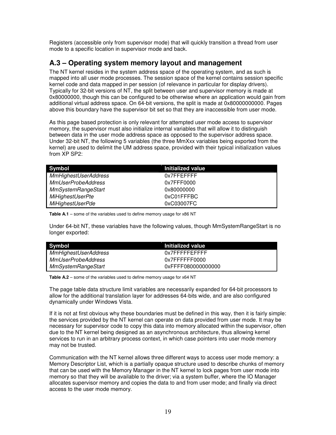Registers (accessible only from supervisor mode) that will quickly transition a thread from user mode to a specific location in supervisor mode and back.

### **A.3 – Operating system memory layout and management**

The NT kernel resides in the system address space of the operating system, and as such is mapped into all user mode processes. The session space of the kernel contains session specific kernel code and data mapped in per session (of relevance in particular for display drivers). Typically for 32-bit versions of NT, the split between user and supervisor memory is made at 0x80000000, though this can be configured to be otherwise where an application would gain from additional virtual address space. On 64-bit versions, the split is made at 0x80000000000. Pages above this boundary have the supervisor bit set so that they are inaccessible from user mode.

As this page based protection is only relevant for attempted user mode access to supervisor memory, the supervisor must also initialize internal variables that will allow it to distinguish between data in the user mode address space as opposed to the supervisor address space. Under 32-bit NT, the following 5 variables (the three MmXxx variables being exported from the kernel) are used to delimit the UM address space, provided with their typical initialization values from XP SP2:

| <b>Symbol</b>               | Initialized value |
|-----------------------------|-------------------|
| <b>MmHighestUserAddress</b> | 0x7FFEFFFF        |
| <b>MmUserProbeAddress</b>   | 0x7FFF0000        |
| <b>MmSystemRangeStart</b>   | 0x80000000        |
| <b>MiHighestUserPte</b>     | 0xC01FFFBC        |
| <b>MiHighestUserPde</b>     | 0xC03007FC        |

**Table A.1** – some of the variables used to define memory usage for x86 NT

Under 64-bit NT, these variables have the following values, though MmSystemRangeStart is no longer exported:

| Symbol                      | Initialized value  |
|-----------------------------|--------------------|
| <b>MmHighestUserAddress</b> | $0x7$ FFFFFFFFFFF  |
| <b>MmUserProbeAddress</b>   | 0x7FFFFFFF0000     |
| <b>MmSystemRangeStart</b>   | 0xFFFF080000000000 |

**Table A.2** – some of the variables used to define memory usage for x64 NT

The page table data structure limit variables are necessarily expanded for 64-bit processors to allow for the additional translation layer for addresses 64-bits wide, and are also configured dynamically under Windows Vista.

If it is not at first obvious why these boundaries must be defined in this way, then it is fairly simple: the services provided by the NT kernel can operate on data provided from user mode. It may be necessary for supervisor code to copy this data into memory allocated within the supervisor, often due to the NT kernel being designed as an asynchronous architecture, thus allowing kernel services to run in an arbitrary process context, in which case pointers into user mode memory may not be trusted.

Communication with the NT kernel allows three different ways to access user mode memory: a Memory Descriptor List, which is a partially opaque structure used to describe chunks of memory that can be used with the Memory Manager in the NT kernel to lock pages from user mode into memory so that they will be available to the driver; via a system buffer, where the IO Manager allocates supervisor memory and copies the data to and from user mode; and finally via direct access to the user mode memory.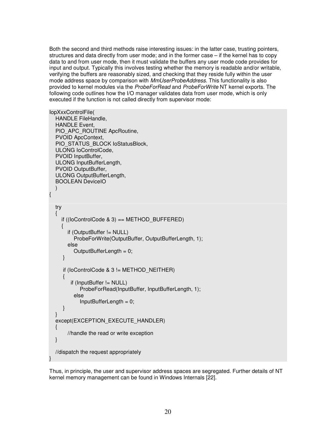Both the second and third methods raise interesting issues: in the latter case, trusting pointers, structures and data directly from user mode; and in the former case – if the kernel has to copy data to and from user mode, then it must validate the buffers any user mode code provides for input and output. Typically this involves testing whether the memory is readable and/or writable, verifying the buffers are reasonably sized, and checking that they reside fully within the user mode address space by comparison with MmUserProbeAddress. This functionality is also provided to kernel modules via the ProbeForRead and ProbeForWrite NT kernel exports. The following code outlines how the I/O manager validates data from user mode, which is only executed if the function is not called directly from supervisor mode:

```
IopXxxControlFile( 
   HANDLE FileHandle, 
   HANDLE Event, 
  PIO_APC_ROUTINE ApcRoutine,
   PVOID ApcContext, 
  PIO_STATUS_BLOCK loStatusBlock,
   ULONG IoControlCode, 
   PVOID InputBuffer, 
   ULONG InputBufferLength, 
   PVOID OutputBuffer, 
   ULONG OutputBufferLength, 
   BOOLEAN DeviceIO 
\left( \begin{array}{c} \end{array} \right){ 
   try 
   { 
      if ((IoControlCode & 3) == METHOD_BUFFERED)
\left\{\begin{array}{ccc} \end{array}\right\} if (OutputBuffer != NULL) 
            ProbeForWrite(OutputBuffer, OutputBufferLength, 1); 
         else 
            OutputBufferLength = 0; 
      } 
     if (IoControlCode & 3 != METHOD_NEITHER)
      { 
          if (InputBuffer != NULL) 
              ProbeForRead(InputBuffer, InputBufferLength, 1); 
           else 
              InputBufferLength = 0; 
      } 
   } 
  except(EXCEPTION_EXECUTE_HANDLER)
   { 
         //handle the read or write exception 
   } 
   //dispatch the request appropriately 
}
```
Thus, in principle, the user and supervisor address spaces are segregated. Further details of NT kernel memory management can be found in Windows Internals [22].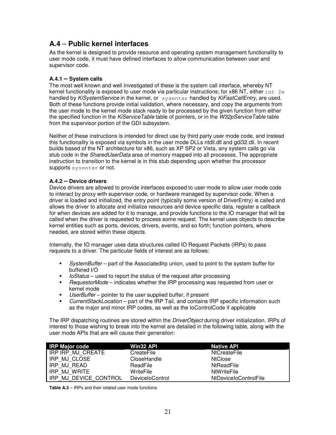### **A.4** – **Public kernel interfaces**

As the kernel is designed to provide resource and operating system management functionality to user mode code, it must have defined interfaces to allow communication between user and supervisor code.

### **A.4.1 – System calls**

The most well known and well investigated of these is the system call interface, whereby NT kernel functionality is exposed to user mode via particular instructions; for x86 NT, either  $int 2e$ handled by KiSystemService in the kernel, or sysenter handled by KiFastCallEntry, are used. Both of these functions provide initial validation, where necessary, and copy the arguments from the user mode to the kernel mode stack ready to be processed by the given function from either the specified function in the KiServiceTable table of pointers, or in the W32pServiceTable table from the supervisor portion of the GDI subsystem.

Neither of these instructions is intended for direct use by third party user mode code, and instead this functionality is exposed via symbols in the user mode DLLs ntdll.dll and gdi32.dll. In recent builds based of the NT architecture for x86, such as XP SP2 or Vista, any system calls go via stub code in the *SharedUserData* area of memory mapped into all processes. The appropriate instruction to transition to the kernel is in this stub depending upon whether the processor supports sysenter or not.

#### **A.4.2 – Device drivers**

Device drivers are allowed to provide interfaces exposed to user mode to allow user mode code to interact by proxy with supervisor code, or hardware managed by supervisor code. When a driver is loaded and initialized, the entry point (typically some version of DriverEntry) is called and allows the driver to allocate and initialize resources and device specific data, register a callback for when devices are added for it to manage, and provide functions to the IO manager that will be called when the driver is requested to process some request. The kernel uses objects to describe kernel entities such as ports, devices, drivers, events, and so forth; function pointers, where needed, are stored within these objects.

Internally, the IO manager uses data structures called IO Request Packets (IRPs) to pass requests to a driver. The particular fields of interest are as follows:

- SystemBuffer part of the AssociatedIrp union, used to point to the system buffer for buffered I/O
- $I$  *loStatus* used to report the status of the request after processing
- **RequestorMode** indicates whether the IRP processing was requested from user or kernel mode
- $\blacksquare$  UserBuffer pointer to the user supplied buffer, if present
- CurrentStackLocation part of the IRP Tail, and contains IRP specific information such as the major and minor IRP codes, as well as the IoControlCode if applicable

The IRP dispatching routines are stored within the *DriverObject* during driver initialization. IRPs of interest to those wishing to break into the kernel are detailed in the following table, along with the user mode APIs that are will cause their generation:

| <b>IRP Major code</b>       | <b>Win32 API</b> | <b>Native API</b>     |
|-----------------------------|------------------|-----------------------|
| IRP IRP MJ CREATE           | CreateFile       | <b>NtCreateFile</b>   |
| IRP MJ CLOSE                | CloseHandle      | <b>NtClose</b>        |
| IRP MJ READ                 | ReadFile         | NtReadFile            |
| I IRP MJ WRITE              | WriteFile        | <b>NtWriteFile</b>    |
| l IRP.<br>MJ DEVICE CONTROL | DeviceloControl  | NtDeviceIoControlFile |

**Table A.3** – IRPs and their related user mode functions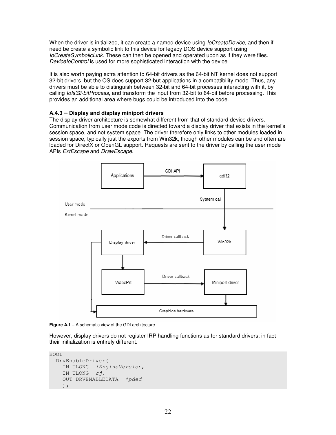When the driver is initialized, it can create a named device using *loCreateDevice*, and then if need be create a symbolic link to this device for legacy DOS device support using IoCreateSymbolicLink. These can then be opened and operated upon as if they were files. DeviceIoControl is used for more sophisticated interaction with the device.

It is also worth paying extra attention to 64-bit drivers as the 64-bit NT kernel does not support 32-bit drivers, but the OS does support 32-but applications in a compatibility mode. Thus, any drivers must be able to distinguish between 32-bit and 64-bit processes interacting with it, by calling *IoIs32-bitProcess*, and transform the input from 32-bit to 64-bit before processing. This provides an additional area where bugs could be introduced into the code.

#### **A.4.3 – Display and display miniport drivers**

The display driver architecture is somewhat different from that of standard device drivers. Communication from user mode code is directed toward a display driver that exists in the kernel's session space, and not system space. The driver therefore only links to other modules loaded in session space, typically just the exports from Win32k, though other modules can be and often are loaded for DirectX or OpenGL support. Requests are sent to the driver by calling the user mode APIs ExtEscape and DrawEscape.



**Figure A.1 – A schematic view of the GDI architecture** 

However, display drivers do not register IRP handling functions as for standard drivers; in fact their initialization is entirely different.

BOOL

```
 DrvEnableDriver( 
  IN ULONG iEngineVersion, 
   IN ULONG cj, 
   OUT DRVENABLEDATA *pded
   );
```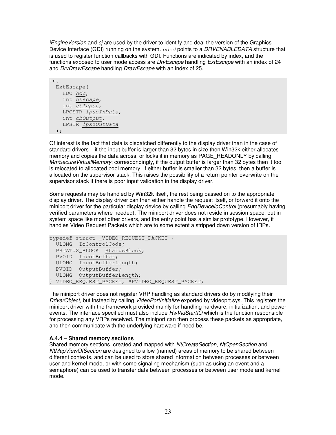iEngineVersion and cj are used by the driver to identify and deal the version of the Graphics Device Interface (GDI) running on the system. pded points to a DRVENABLEDATA structure that is used to register function callbacks with GDI. Functions are indicated by index, and the functions exposed to user mode access are *DrvEscape* handling *ExtEscape* with an index of 24 and DrvDrawEscape handling DrawEscape with an index of 25.

```
int 
   ExtEscape( 
     HDC hdc, 
     int nEscape, 
     int cbInput, 
     LPCSTR lpszInData, 
     int cbOutput, 
     LPSTR lpszOutData
  );
```
Of interest is the fact that data is dispatched differently to the display driver than in the case of standard drivers – if the input buffer is larger than 32 bytes in size then Win32k either allocates memory and copies the data across, or locks it in memory as PAGE\_READONLY by calling MmSecure VirtualMemory; correspondingly, if the output buffer is larger than 32 bytes then it too is relocated to allocated pool memory. If either buffer is smaller than 32 bytes, then a buffer is allocated on the supervisor stack. This raises the possibility of a return pointer overwrite on the supervisor stack if there is poor input validation in the display driver.

Some requests may be handled by Win32k itself, the rest being passed on to the appropriate display driver. The display driver can then either handle the request itself, or forward it onto the miniport driver for the particular display device by calling *EngDeviceIoControl* (presumably having verified parameters where needed). The miniport driver does not reside in session space, but in system space like most other drivers, and the entry point has a similar prototype. However, it handles Video Request Packets which are to some extent a stripped down version of IRPs.

```
typedef struct _VIDEO_REQUEST_PACKET { 
  ULONG IoControlCode; 
  PSTATUS_BLOCK StatusBlock; 
  PVOID InputBuffer; 
  ULONG InputBufferLength; 
  PVOID OutputBuffer; 
 ULONG OutputBufferLength;
} VIDEO_REQUEST_PACKET, *PVIDEO_REQUEST_PACKET;
```
The miniport driver does not register VRP handling as standard drivers do by modifying their DriverObject, but instead by calling VideoPortInitialize exported by videoprt.sys. This registers the miniport driver with the framework provided mainly for handling hardware, initialization, and power events. The interface specified must also include *HwVidStartIO* which is the function responsible for processing any VRPs received. The miniport can then process these packets as appropriate, and then communicate with the underlying hardware if need be.

#### **A.4.4 – Shared memory sections**

Shared memory sections, created and mapped with NtCreateSection, NtOpenSection and NtMapViewOfSection are designed to allow (named) areas of memory to be shared between different contexts, and can be used to store shared information between processes or between user and kernel mode, or with some signaling mechanism (such as using an event and a semaphore) can be used to transfer data between processes or between user mode and kernel mode.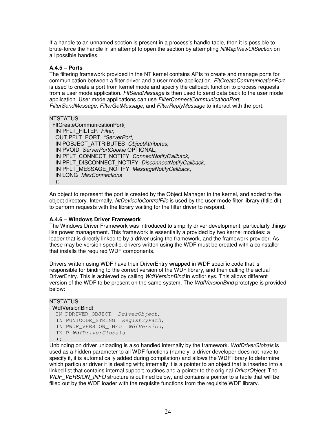If a handle to an unnamed section is present in a process's handle table, then it is possible to brute-force the handle in an attempt to open the section by attempting NtMapViewOfSection on all possible handles.

#### **A.4.5 – Ports**

The filtering framework provided in the NT kernel contains APIs to create and manage ports for communication between a filter driver and a user mode application. FltCreateCommunicationPort is used to create a port from kernel mode and specify the callback function to process requests from a user mode application. FltSendMessage is then used to send data back to the user mode application. User mode applications can use FilterConnectCommunicationPort, FilterSendMessage, FilterGetMessage, and FilterReplyMessage to interact with the port.

#### **NTSTATUS**

 FltCreateCommunicationPort( IN PFLT\_FILTER\_Filter, OUT PFLT\_PORT \*ServerPort, IN POBJECT ATTRIBUTES ObjectAttributes, IN PVOID ServerPortCookie OPTIONAL, IN PFLT\_CONNECT\_NOTIFY ConnectNotifyCallback, IN PFLT\_DISCONNECT\_NOTIFY DisconnectNotifyCallback, IN PFLT\_MESSAGE\_NOTIFY MessageNotifyCallback, IN LONG MaxConnections );

An object to represent the port is created by the Object Manager in the kernel, and added to the object directory. Internally, NtDeviceloControlFile is used by the user mode filter library (fitlib.dll) to perform requests with the library waiting for the filter driver to respond.

#### **A.4.6 – Windows Driver Framework**

The Windows Driver Framework was introduced to simplify driver development, particularly things like power management. This framework is essentially a provided by two kernel modules: a loader that is directly linked to by a driver using the framework, and the framework provider. As these may be version specific, drivers written using the WDF must be created with a coinstaller that installs the required WDF components.

Drivers written using WDF have their DriverEntry wrapped in WDF specific code that is responsible for binding to the correct version of the WDF library, and then calling the actual DriverEntry. This is achieved by calling WdfVersionBind in wdfldr.sys. This allows different version of the WDF to be present on the same system. The *WdfVersionBind* prototype is provided below:

#### **NTSTATUS**

```
 WdfVersionBind(
```

```
 IN PDRIVER_OBJECT DriverObject,
IN PUNICODE STRING RegistryPath,
IN PWDF VERSION INFO WdfVersion,
 IN P WdfDriverGlobals
 );
```
Unbinding on driver unloading is also handled internally by the framework. WdfDriverGlobals is used as a hidden parameter to all WDF functions (namely, a driver developer does not have to specify it, it is automatically added during compilation) and allows the WDF library to determine which particular driver it is dealing with; internally it is a pointer to an object that is inserted into a linked list that contains internal support routines and a pointer to the original DriverObject. The WDF, VERSION, INFO structure is outlined below, and contains a pointer to a table that will be filled out by the WDF loader with the requisite functions from the requisite WDF library.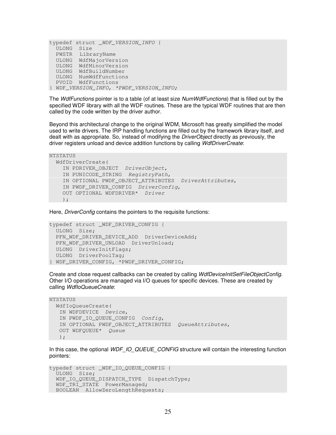```
typedef struct _WDF_VERSION_INFO { 
  ULONG Size 
  PWSTR LibraryName 
  ULONG WdfMajorVersion 
  ULONG WdfMinorVersion 
  ULONG WdfBuildNumber 
  ULONG NumWdfFunctions 
  PVOID WdfFunctions 
} WDF_VERSION_INFO, *PWDF_VERSION_INFO;
```
The WdfFunctions pointer is to a table (of at least size NumWdfFunctions) that is filled out by the specified WDF library with all the WDF routines. These are the typical WDF routines that are then called by the code written by the driver author.

Beyond this architectural change to the original WDM, Microsoft has greatly simplified the model used to write drivers. The IRP handling functions are filled out by the framework library itself, and dealt with as appropriate. So, instead of modifying the *DriverObject* directly as previously, the driver registers unload and device addition functions by calling WdfDriverCreate:

```
NTSTATUS 
   WdfDriverCreate( 
    IN PDRIVER OBJECT DriverObject,
     IN PUNICODE_STRING RegistryPath, 
     IN OPTIONAL PWDF_OBJECT_ATTRIBUTES DriverAttributes, 
    IN PWDF DRIVER CONFIG DriverConfig,
     OUT OPTIONAL WDFDRIVER* Driver
     );
```
Here, DriverConfig contains the pointers to the requisite functions:

```
typedef struct _WDF_DRIVER_CONFIG { 
  ULONG Size; 
 PFN_WDF_DRIVER_DEVICE_ADD DriverDeviceAdd;
 PFN_WDF_DRIVER_UNLOAD DriverUnload;
  ULONG DriverInitFlags; 
  ULONG DriverPoolTag; 
} WDF_DRIVER_CONFIG, *PWDF_DRIVER_CONFIG;
```
Create and close request callbacks can be created by calling WdfDeviceInitSetFileObjectConfig. Other I/O operations are managed via I/O queues for specific devices. These are created by calling WdfloQueueCreate:

```
NTSTATUS 
   WdfIoQueueCreate( 
    IN WDFDEVICE Device, 
    IN PWDF_IO_QUEUE_CONFIG Config, 
    IN OPTIONAL PWDF_OBJECT_ATTRIBUTES QueueAttributes, 
    OUT WDFQUEUE* Queue
   );
```
In this case, the optional WDF\_IO\_QUEUE\_CONFIG structure will contain the interesting function pointers:

```
typedef struct _WDF_IO_QUEUE_CONFIG { 
  ULONG Size; 
 WDF IO QUEUE DISPATCH TYPE DispatchType;
 WDF TRI STATE PowerManaged;
  BOOLEAN AllowZeroLengthRequests;
```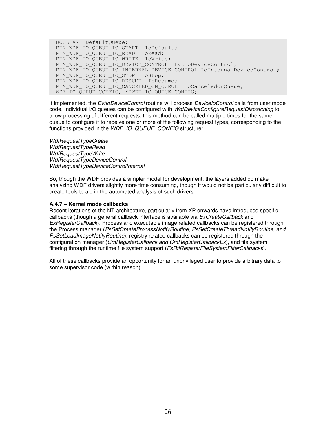BOOLEAN DefaultQueue; PFN\_WDF\_IO\_QUEUE\_IO\_START IoDefault; PFN\_WDF\_IO\_QUEUE\_IO\_READ IoRead; PFN\_WDF\_IO\_QUEUE\_IO\_WRITE IoWrite; PFN\_WDF\_IO\_QUEUE\_IO\_DEVICE\_CONTROL EvtIoDeviceControl; PFN\_WDF\_IO\_QUEUE\_IO\_INTERNAL\_DEVICE\_CONTROL IoInternalDeviceControl; PFN\_WDF\_IO\_QUEUE\_IO\_STOP IoStop; PFN\_WDF\_IO\_QUEUE\_IO\_RESUME IoResume; PFN\_WDF\_IO\_QUEUE\_IO\_CANCELED\_ON\_QUEUE IoCanceledOnQueue; } WDF\_IO\_QUEUE\_CONFIG, \*PWDF\_IO\_QUEUE\_CONFIG;

If implemented, the EvtloDeviceControl routine will process DeviceIoControl calls from user mode code. Individual I/O queues can be configured with WdfDeviceConfigureRequestDispatching to allow processing of different requests; this method can be called multiple times for the same queue to configure it to receive one or more of the following request types, corresponding to the functions provided in the WDF\_IO\_QUEUE\_CONFIG structure:

WdfRequestTypeCreate WdfRequestTypeRead WdfRequestTypeWrite WdfRequestTypeDeviceControl WdfRequestTypeDeviceControlInternal

So, though the WDF provides a simpler model for development, the layers added do make analyzing WDF drivers slightly more time consuming, though it would not be particularly difficult to create tools to aid in the automated analysis of such drivers.

#### **A.4.7 – Kernel mode callbacks**

Recent iterations of the NT architecture, particularly from XP onwards have introduced specific callbacks (though a general callback interface is available via ExCreateCallback and ExRegisterCallback). Process and executable image related callbacks can be registered through the Process manager (PsSetCreateProcessNotifyRoutine, PsSetCreateThreadNotifyRoutine, and PsSetLoadImageNotifyRoutine), registry related callbacks can be registered through the configuration manager (CmRegisterCallback and CmRegisterCallbackEx), and file system filtering through the runtime file system support (*FsRtlRegisterFileSystemFilterCallbacks*).

All of these callbacks provide an opportunity for an unprivileged user to provide arbitrary data to some supervisor code (within reason).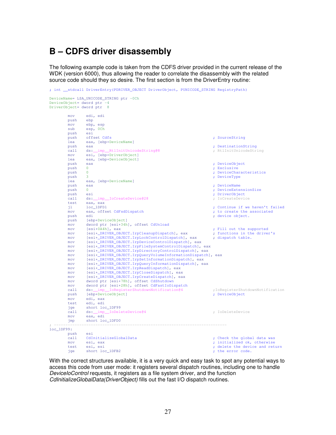## **B – CDFS driver disassembly**

The following example code is taken from the CDFS driver provided in the current release of the WDK (version 6000), thus allowing the reader to correlate the disassembly with the related source code should they so desire. The first section is from the DriverEntry routine:

```
; int __stdcall DriverEntry(PDRIVER_OBJECT DriverObject, PUNICODE_STRING RegistryPath) 
DeviceName= LSA_UNICODE_STRING ptr -0Ch 
DeviceObject= dword ptr -4 
DriverObject= dword ptr 8 
          mov edi, edi
         push
          mov ebp, esp
          sub esp, 0Ch
         push esi<br>push offset Cdfs
         push offset Cdfs ; SourceString ; SourceString ; SourceString ; SourceString ; SourceString ; SourceString ; SourceString ; SourceString ; SourceString ; SourceString ; SourceString ; SourceString ; SourceString ; SourceSt
          lea eax, [ebp+DeviceName]
         push eax ; <br>
call ds:_imp_RtlInitUnicodeString@8 ; RtlInitUnicodeString ; RtlInitUnicodeString
                  ds:__imp__RtlInitUnicodeString@8
         mov esi, [ebp+DriverObject]<br>lea eax, [ebp+DeviceObject]
         lea eax, [ebp+DeviceObject]<br>push eax
         push eax ; DeviceObject ; DeviceObject ; DeviceObject ; DeviceObject ; DeviceObject ; DeviceObject ; DeviceObject ; \frac{1}{2} ; Exclusive
                                                                                   ; Exclusive
         push 0 ; DeviceCharacteristics ; DeviceCharacteristics
          push 3 ; DeviceType 
          lea eax, [ebp+DeviceName]
          push eax ; DeviceName 
         push 0 ; DeviceExtensionSize ; \blacksquare push esi ; DriverObject 
                  ds:__imp__IoCreateDevice@28
         test eax, eax<br>il loc_1DFD1
         jl loc_1DFD1 <br>mov eax, offset CdFsdDispatch \begin{array}{ccc} \hbox{in} & \hbox{in} \\ \hbox{in} & \hbox{in} \\ \hbox{in} & \hbox{in} \end{array} ; to create the associated
                                                                                   \frac{1}{\pi} to create the associated
          push edi ; device object. 
                  [ebp+DeviceObject]
         mov dword ptr [esi+34h], offset CdUnload<br>mov [esi+0A4h], eax
                                                                                   %; Fill out the supported<br>; functions in the driver's
         mov [esi+_DRIVER_OBJECT.IrpCleanupDispatch], eax ; functions in the mov [esi+ DRIVER OBJECT.IrpLockControlDispatch], eax ; dispatch table.
                  [esi+_DRIVER_OBJECT.IrpLockControlDispatch], eax
          mov [esi+_DRIVER_OBJECT.IrpDeviceControlDispatch], eax 
          mov [esi+_DRIVER_OBJECT.IrpFileSystemControlDispatch], eax 
          mov [esi+_DRIVER_OBJECT.IrpDirectoryControlDispatch], eax
         mov [esi+_DRIVER_OBJECT.IrpQueryVolumeInformationDispatch], eax<br>mov [esi+ DRIVER OBJECT.IrpSetInformationDispatch], eax
                  [esi+_DRIVER_OBJECT.IrpSetInformationDispatch], eax
         mov [esi+_DRIVER_OBJECT.IrpQueryInformationDispatch], eax<br>mov [esi+ DRIVER OBJECT.IrpReadDispatch], eax
                  [esi+_DRIVER_OBJECT.IrpReadDispatch], eax
         mov [esi+_DRIVER_OBJECT.IrpCloseDispatch], eax<br>mov [esi+ DRIVER OBJECT.IrpCreateDispatch], ea
         mov [esi+_DRIVER_OBJECT.IrpCreateDispatch], eax<br>mov dword ptr [esi+78h], offset CdShutdown
                  dword ptr [esi+78h], offset CdShutdown
         mov dword ptr [esi+28h], offset CdFastIoDispatch<br>call ds: imp IoRegisterShutdownNotification@4
                               call ds:__imp__IoRegisterShutdownNotification@4 ;IoRegisterShutdownNotification 
         push [ebp+DeviceObject]<br>mov edi.eax
                  edi, eax
          test edi, edi
         jge short loc_1DF99<br>call ds:__imp__IoDele
         call ds:_imp_IoDeleteDevice@4 ; IoDeleteDevice<br>mov eax.edi
                 eax, edi
          jmp short loc_1DFD0
; --------------------------------------------------------------------------- 
loc_1DF99:
          push esi
         call CdInitializeGlobalData in the call CdInitializeGlobalData i the state of the global data was now esi, eax initialized ok, otherwise
         mov esi, eax ; initialized ok, otherwise<br>test esi.esi ; delete the device and ret
                                                                                   ; delete the device and return<br>: the error code.
         jge short loc_1DFB2
```
With the correct structures available, it is a very quick and easy task to spot any potential ways to access this code from user mode: it registers several dispatch routines, including one to handle DeviceloControl requests, it registers as a file system driver, and the function CdInitializeGlobalData(DriverObject) fills out the fast I/O dispatch routines.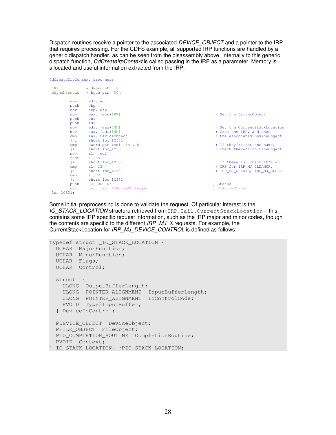Dispatch routines receive a pointer to the associated DEVICE\_OBJECT and a pointer to the IRP that requires processing. For the CDFS example, all supported IRP functions are handled by a generic dispatch handler, as can be seen from the disassembly above. Internally to this generic dispatch function, CdCreateIrpContext is called passing in the IRP as a parameter. Memory is allocated and useful information extracted from the IRP:

|                     | CdCreateIrpContext proc near             |                                |
|---------------------|------------------------------------------|--------------------------------|
| TRP<br>bSynchronous | $=$ dword ptr $8$<br>$=$ byte ptr $0$ Ch |                                |
| mov<br>push         | edi, edi<br>ebp                          |                                |
| mov<br>mov<br>push  | ebp, esp<br>eax, [ebp+IRP]<br>esi<br>edi | ; Get the DriverObject         |
| push<br>mov         | edi, [eax+60h]                           | : Get the CurrentStackLocation |
| mov                 | eax, [edi+14h]                           | ; from the IRP, and then       |
| cmp                 | eax, DeviceObject                        | ; the associated DeviceObject  |
| $\n  inz\n$         | short loc_1C531                          |                                |
| cmp                 | dword ptr [edi+18h], 0                   | ; If they're not the same,     |
| iz                  | short loc 1C531                          | ; check there's no FileObject  |
| mov                 | al, [edi]                                |                                |
| test                | al, al                                   |                                |
| iz                  | short loc 1C531                          | ; If there is, check it's an   |
| cmp                 | al, $12h$                                | ; IRP for IRP_MJ_CLEANUP,      |
| jz                  | short loc 1C531                          | ; IRP MJ CREATE, IRP MJ CLOSE  |
| cmp                 | al, $2$                                  |                                |
| iz                  | short loc_1C531                          |                                |
| push                | 0C0000010h                               | : Status                       |
| ca11                | ds: __ imp__ExRaiseStatus@4              | ExRaiseStatus                  |

```
loc_1C531:
```
Some initial preprocessing is done to validate the request. Of particular interest is the IO STACK LOCATION structure retrieved from IRP. Tail.CurrentStackLocation – this contains some IRP specific request information, such as the IRP major and minor codes, though the contents are specific to the different IRP\_MJ\_X requests. For example, the CurrentStackLocation for IRP\_MJ\_DEVICE\_CONTROL is defined as follows:

```
typedef struct _IO_STACK_LOCATION { 
  UCHAR MajorFunction; 
  UCHAR MinorFunction; 
  UCHAR Flags; 
  UCHAR Control; 
   struct { 
    ULONG OutputBufferLength; 
   ULONG POINTER ALIGNMENT InputBufferLength;
    ULONG POINTER_ALIGNMENT IoControlCode; 
    PVOID Type3InputBuffer; 
   } DeviceIoControl; 
  PDEVICE_OBJECT DeviceObject; 
  PFILE_OBJECT FileObject; 
  PIO_COMPLETION_ROUTINE CompletionRoutine; 
  PVOID Context; 
} IO_STACK_LOCATION, *PIO_STACK_LOCATION;
```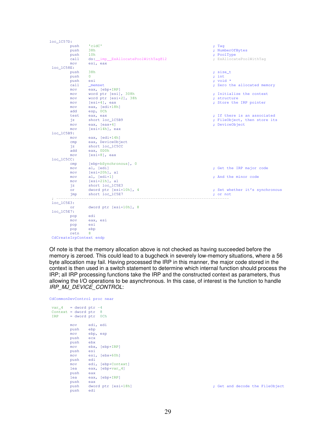| 'cidC'<br>; Tag<br>push<br>38h<br>; NumberOfBytes<br>push<br>10 <sub>h</sub><br>; PoolType<br>push<br>ds: imp ExAllocatePoolWithTaq@12<br>; ExAllocatePoolWithTaq<br>cal1<br>esi, eax<br>mov<br>$loc_1C58E$ :<br>38h<br>push<br>; size t<br>$\Omega$<br>push<br>$;$ int<br>; void *<br>push<br>esi<br>call<br>; Zero the allocated memory<br>memset<br>eax, [ebp+IRP]<br>mov<br>word ptr [esi], 308h<br>; Initialize the context<br>mov<br>word ptr [esi+2], 38h<br>; structure<br>mov<br>; Store the IRP pointer<br>$[esi+4]$ , eax<br>mov<br>eax, [edi+18h]<br>mov<br>esp, OCh<br>add<br>; If there is an associated<br>eax, eax<br>test<br>; FileObject, then store its<br>short loc_1C5B9<br>ήz<br>; DeviceObject<br>eax, $[ear+4]$<br>mov<br>$[esi+14h]$ , eax<br>mov<br>loc 1C5B9:<br>eax, $[edi+14h]$<br>mov<br>eax, DeviceObject<br>cmp<br>short loc_1C5CC<br>ήz<br>eax, ODOh<br>add<br>$[esi+8]$ , eax<br>mov<br>$loc_1C5CC$ :<br>[ebp+bSynchronous], 0<br>cmp<br>al, [edi]<br>; Get the IRP major code<br>mov<br>$[esi+20h]$ , al<br>mov<br>al, $[edi+1]$<br>; And the minor code<br>mov<br>$[esi+21h]$ , al<br>mov<br>short loc_1C5E3<br>ήz<br>dword ptr [esi+10h], 4<br>; Set whether it's synchronous<br>or<br>short loc_1C5E7<br>jmp<br>; or not<br>loc 1C5E3:<br>dword ptr [esi+10h], 8<br>or<br>loc 1C5E7:<br>edi<br>pop<br>mov<br>eax, esi<br>esi<br>pop<br>ebp<br>pop<br>8<br>retn<br>CdCreateIrpContext endp | $loc_1C57D:$ |  |
|---------------------------------------------------------------------------------------------------------------------------------------------------------------------------------------------------------------------------------------------------------------------------------------------------------------------------------------------------------------------------------------------------------------------------------------------------------------------------------------------------------------------------------------------------------------------------------------------------------------------------------------------------------------------------------------------------------------------------------------------------------------------------------------------------------------------------------------------------------------------------------------------------------------------------------------------------------------------------------------------------------------------------------------------------------------------------------------------------------------------------------------------------------------------------------------------------------------------------------------------------------------------------------------------------------------------------------------------------------------------------------------------------------------------------------|--------------|--|
|                                                                                                                                                                                                                                                                                                                                                                                                                                                                                                                                                                                                                                                                                                                                                                                                                                                                                                                                                                                                                                                                                                                                                                                                                                                                                                                                                                                                                                 |              |  |
|                                                                                                                                                                                                                                                                                                                                                                                                                                                                                                                                                                                                                                                                                                                                                                                                                                                                                                                                                                                                                                                                                                                                                                                                                                                                                                                                                                                                                                 |              |  |
|                                                                                                                                                                                                                                                                                                                                                                                                                                                                                                                                                                                                                                                                                                                                                                                                                                                                                                                                                                                                                                                                                                                                                                                                                                                                                                                                                                                                                                 |              |  |
|                                                                                                                                                                                                                                                                                                                                                                                                                                                                                                                                                                                                                                                                                                                                                                                                                                                                                                                                                                                                                                                                                                                                                                                                                                                                                                                                                                                                                                 |              |  |
|                                                                                                                                                                                                                                                                                                                                                                                                                                                                                                                                                                                                                                                                                                                                                                                                                                                                                                                                                                                                                                                                                                                                                                                                                                                                                                                                                                                                                                 |              |  |
|                                                                                                                                                                                                                                                                                                                                                                                                                                                                                                                                                                                                                                                                                                                                                                                                                                                                                                                                                                                                                                                                                                                                                                                                                                                                                                                                                                                                                                 |              |  |
|                                                                                                                                                                                                                                                                                                                                                                                                                                                                                                                                                                                                                                                                                                                                                                                                                                                                                                                                                                                                                                                                                                                                                                                                                                                                                                                                                                                                                                 |              |  |
|                                                                                                                                                                                                                                                                                                                                                                                                                                                                                                                                                                                                                                                                                                                                                                                                                                                                                                                                                                                                                                                                                                                                                                                                                                                                                                                                                                                                                                 |              |  |
|                                                                                                                                                                                                                                                                                                                                                                                                                                                                                                                                                                                                                                                                                                                                                                                                                                                                                                                                                                                                                                                                                                                                                                                                                                                                                                                                                                                                                                 |              |  |
|                                                                                                                                                                                                                                                                                                                                                                                                                                                                                                                                                                                                                                                                                                                                                                                                                                                                                                                                                                                                                                                                                                                                                                                                                                                                                                                                                                                                                                 |              |  |
|                                                                                                                                                                                                                                                                                                                                                                                                                                                                                                                                                                                                                                                                                                                                                                                                                                                                                                                                                                                                                                                                                                                                                                                                                                                                                                                                                                                                                                 |              |  |
|                                                                                                                                                                                                                                                                                                                                                                                                                                                                                                                                                                                                                                                                                                                                                                                                                                                                                                                                                                                                                                                                                                                                                                                                                                                                                                                                                                                                                                 |              |  |
|                                                                                                                                                                                                                                                                                                                                                                                                                                                                                                                                                                                                                                                                                                                                                                                                                                                                                                                                                                                                                                                                                                                                                                                                                                                                                                                                                                                                                                 |              |  |
|                                                                                                                                                                                                                                                                                                                                                                                                                                                                                                                                                                                                                                                                                                                                                                                                                                                                                                                                                                                                                                                                                                                                                                                                                                                                                                                                                                                                                                 |              |  |
|                                                                                                                                                                                                                                                                                                                                                                                                                                                                                                                                                                                                                                                                                                                                                                                                                                                                                                                                                                                                                                                                                                                                                                                                                                                                                                                                                                                                                                 |              |  |
|                                                                                                                                                                                                                                                                                                                                                                                                                                                                                                                                                                                                                                                                                                                                                                                                                                                                                                                                                                                                                                                                                                                                                                                                                                                                                                                                                                                                                                 |              |  |
|                                                                                                                                                                                                                                                                                                                                                                                                                                                                                                                                                                                                                                                                                                                                                                                                                                                                                                                                                                                                                                                                                                                                                                                                                                                                                                                                                                                                                                 |              |  |
|                                                                                                                                                                                                                                                                                                                                                                                                                                                                                                                                                                                                                                                                                                                                                                                                                                                                                                                                                                                                                                                                                                                                                                                                                                                                                                                                                                                                                                 |              |  |
|                                                                                                                                                                                                                                                                                                                                                                                                                                                                                                                                                                                                                                                                                                                                                                                                                                                                                                                                                                                                                                                                                                                                                                                                                                                                                                                                                                                                                                 |              |  |
|                                                                                                                                                                                                                                                                                                                                                                                                                                                                                                                                                                                                                                                                                                                                                                                                                                                                                                                                                                                                                                                                                                                                                                                                                                                                                                                                                                                                                                 |              |  |
|                                                                                                                                                                                                                                                                                                                                                                                                                                                                                                                                                                                                                                                                                                                                                                                                                                                                                                                                                                                                                                                                                                                                                                                                                                                                                                                                                                                                                                 |              |  |
|                                                                                                                                                                                                                                                                                                                                                                                                                                                                                                                                                                                                                                                                                                                                                                                                                                                                                                                                                                                                                                                                                                                                                                                                                                                                                                                                                                                                                                 |              |  |
|                                                                                                                                                                                                                                                                                                                                                                                                                                                                                                                                                                                                                                                                                                                                                                                                                                                                                                                                                                                                                                                                                                                                                                                                                                                                                                                                                                                                                                 |              |  |
|                                                                                                                                                                                                                                                                                                                                                                                                                                                                                                                                                                                                                                                                                                                                                                                                                                                                                                                                                                                                                                                                                                                                                                                                                                                                                                                                                                                                                                 |              |  |
|                                                                                                                                                                                                                                                                                                                                                                                                                                                                                                                                                                                                                                                                                                                                                                                                                                                                                                                                                                                                                                                                                                                                                                                                                                                                                                                                                                                                                                 |              |  |
|                                                                                                                                                                                                                                                                                                                                                                                                                                                                                                                                                                                                                                                                                                                                                                                                                                                                                                                                                                                                                                                                                                                                                                                                                                                                                                                                                                                                                                 |              |  |
|                                                                                                                                                                                                                                                                                                                                                                                                                                                                                                                                                                                                                                                                                                                                                                                                                                                                                                                                                                                                                                                                                                                                                                                                                                                                                                                                                                                                                                 |              |  |
|                                                                                                                                                                                                                                                                                                                                                                                                                                                                                                                                                                                                                                                                                                                                                                                                                                                                                                                                                                                                                                                                                                                                                                                                                                                                                                                                                                                                                                 |              |  |
|                                                                                                                                                                                                                                                                                                                                                                                                                                                                                                                                                                                                                                                                                                                                                                                                                                                                                                                                                                                                                                                                                                                                                                                                                                                                                                                                                                                                                                 |              |  |
|                                                                                                                                                                                                                                                                                                                                                                                                                                                                                                                                                                                                                                                                                                                                                                                                                                                                                                                                                                                                                                                                                                                                                                                                                                                                                                                                                                                                                                 |              |  |
|                                                                                                                                                                                                                                                                                                                                                                                                                                                                                                                                                                                                                                                                                                                                                                                                                                                                                                                                                                                                                                                                                                                                                                                                                                                                                                                                                                                                                                 |              |  |
|                                                                                                                                                                                                                                                                                                                                                                                                                                                                                                                                                                                                                                                                                                                                                                                                                                                                                                                                                                                                                                                                                                                                                                                                                                                                                                                                                                                                                                 |              |  |
|                                                                                                                                                                                                                                                                                                                                                                                                                                                                                                                                                                                                                                                                                                                                                                                                                                                                                                                                                                                                                                                                                                                                                                                                                                                                                                                                                                                                                                 |              |  |
|                                                                                                                                                                                                                                                                                                                                                                                                                                                                                                                                                                                                                                                                                                                                                                                                                                                                                                                                                                                                                                                                                                                                                                                                                                                                                                                                                                                                                                 |              |  |
|                                                                                                                                                                                                                                                                                                                                                                                                                                                                                                                                                                                                                                                                                                                                                                                                                                                                                                                                                                                                                                                                                                                                                                                                                                                                                                                                                                                                                                 |              |  |
|                                                                                                                                                                                                                                                                                                                                                                                                                                                                                                                                                                                                                                                                                                                                                                                                                                                                                                                                                                                                                                                                                                                                                                                                                                                                                                                                                                                                                                 |              |  |
|                                                                                                                                                                                                                                                                                                                                                                                                                                                                                                                                                                                                                                                                                                                                                                                                                                                                                                                                                                                                                                                                                                                                                                                                                                                                                                                                                                                                                                 |              |  |
|                                                                                                                                                                                                                                                                                                                                                                                                                                                                                                                                                                                                                                                                                                                                                                                                                                                                                                                                                                                                                                                                                                                                                                                                                                                                                                                                                                                                                                 |              |  |
|                                                                                                                                                                                                                                                                                                                                                                                                                                                                                                                                                                                                                                                                                                                                                                                                                                                                                                                                                                                                                                                                                                                                                                                                                                                                                                                                                                                                                                 |              |  |
|                                                                                                                                                                                                                                                                                                                                                                                                                                                                                                                                                                                                                                                                                                                                                                                                                                                                                                                                                                                                                                                                                                                                                                                                                                                                                                                                                                                                                                 |              |  |
|                                                                                                                                                                                                                                                                                                                                                                                                                                                                                                                                                                                                                                                                                                                                                                                                                                                                                                                                                                                                                                                                                                                                                                                                                                                                                                                                                                                                                                 |              |  |
|                                                                                                                                                                                                                                                                                                                                                                                                                                                                                                                                                                                                                                                                                                                                                                                                                                                                                                                                                                                                                                                                                                                                                                                                                                                                                                                                                                                                                                 |              |  |
|                                                                                                                                                                                                                                                                                                                                                                                                                                                                                                                                                                                                                                                                                                                                                                                                                                                                                                                                                                                                                                                                                                                                                                                                                                                                                                                                                                                                                                 |              |  |
|                                                                                                                                                                                                                                                                                                                                                                                                                                                                                                                                                                                                                                                                                                                                                                                                                                                                                                                                                                                                                                                                                                                                                                                                                                                                                                                                                                                                                                 |              |  |

Of note is that the memory allocation above is not checked as having succeeded before the memory is zeroed. This could lead to a bugcheck in severely low-memory situations, where a 56 byte allocation may fail. Having processed the IRP in this manner, the major code stored in the context is then used in a switch statement to determine which internal function should process the IRP; all IRP processing functions take the IRP and the constructed context as parameters, thus allowing the I/O operations to be asynchronous. In this case, of interest is the function to handle

```
CdCommonDevControl proc near
```
IRP\_MJ\_DEVICE\_CONTROL:

| cucommonbeveoncror proc near |          |          |                         |
|------------------------------|----------|----------|-------------------------|
| $var_4 = dword ptr -4$       |          |          |                         |
| Context = dword $ptr$ 8      |          |          |                         |
| $IRP = dword ptr OCh$        |          |          |                         |
|                              | mov      | edi, edi |                         |
|                              | push     | ebp      |                         |
|                              | mov      | ebp, esp |                         |
|                              | push ecx |          |                         |
|                              | push ebx |          |                         |
|                              |          |          | mov ebx, [ebp+IRP]      |
|                              | push esi |          |                         |
|                              |          |          | mov esi, [ebx+60h]      |
|                              | push edi |          |                         |
|                              |          |          | mov edi, [ebp+Context]  |
|                              | lea      |          | eax, [ebp+var_4]        |
|                              | push     | eax      |                         |
|                              | lea      |          | eax, [ebp+IRP]          |
|                              | push     | eax      |                         |
|                              |          |          | push dword ptr [esi+18h |
|                              | push     | edi      |                         |
|                              |          |          |                         |

push decode the FileObject  $\qquad \qquad ;$  Get and decode the FileObject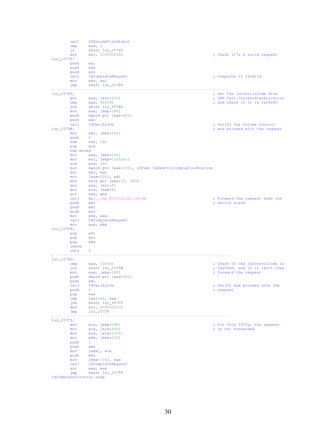```
call CdDecodeFileObject<br>
cmp eax, 2
 cmp eax, 2
 jz short loc_15745
           mov esi, 0C000000Dh ; Check it's a valid request
loc_15739: 
           push esi
           push ebx
          push edi<br>call CdCompleteRequest
          call CdCompleteRequest ; Complete if invalid nov eax, esi
          mov eax, esi<br>jmp short loc
                    short loc_15799
 ; --------------------------------------------------------------------------- 
loc_15745: ; Get the IoControlCode from 
          mov eax, [esi+0Ch] ; IRP.Tail.CurrentStackLocation cmp eax, 24000h ; indictional comp eax, 24000h ; and check if it is 0x24000
          cmp eax, 24000h ; and check if it is 0x24000 jnz short 10c_{15}7.
          jnz short loc_157A0<br>mov eax. [ebp+IRP]
          mov eax, [ebp+IRP]<br>push dword ptr [eax-
                    dword ptr [eax+40h]<br>edi
          push edi<br>call CdVerifyVcb
                                                                                       ; Verify the Volume Control
loc_1575B:<br>
mov edi. [ebx+60h] <br>
edi. [ebx+60h]
                    edi, [ebx+60h]
          push 9<br>sub eq
                    edi, 24h<br>ecx
          pop
          rep movsd<br>mov ea
          \frac{1}{2} mov eax, [ebx+60h]<br>mov esi [ebn+Cont]mov esi, [ebp+Context]<br>sub eax, 24h
          sub eax, 24h<br>mov dword ptr
           mov dword ptr [eax+1Ch], offset CdDevCtrlCompletionRoutine 
          xor edi, edi<br>mov [eax+20h]
          mov [eax+20h], edi<br>mov byte ptr [eax+1]
          mov byte ptr [eax+3], 0E0h<br>mov eax, [esi+8]
          mov eax, [esi+8]<br>mov ecx, [eax+8]
          mov ecx, [eax+8]<br>mov edx, ebx
          mov edx, ebx<br>call ds:__imp_@IofCallDriver@8
          call ds:__imp_@IofCallDriver@8 ; Forward the request down the push edi ; device stack
                    edi ; device stack edi ; device stack edi ; device stack edi ; device stack edi ; device stack edi ; device stack edi ; device stack edi ; device stack edi ; device stack edi ; device stack edi ; device stack edi ; device 
           push edi
          push<br>mov
          mov ebx, eax<br>call CdComplet
          call CdCompleteRequest<br>mov eax, ebx
                    eax, ebx
loc_15799: 
           pop edi
          pop esi
          _{\rm pop} leave 
           retn 8
 ; --------------------------------------------------------------------------- 
loc_157A0: 
          cmp eax, 20040h <br>
inz short loc_1575B <br>
inz short loc_1575B <br>
invariant the invariant the interval of the IoControlCode is
jnz short loc_1575B ; 0x20040, and if it isn't then \frac{1}{2} mov eax, [ebp+IRP]
          push dword ptr [eax+40h]<br>push edi
          push edi<br>call CdVerifyVcb
          call CdVerifyVcb ; verify and proceed with the push 4 ; request
                    eax is a set of the set of the set of the set of the set of the set of the set of the set of the set of the set of the set of the set of the set of the set of the set of the set of the set of the set of the set of the set 
          pop<br>cmp
          cmp [esi+4], eax<br>jnb short loc_15
          jnb short loc_157C5<br>mov esi, 0C0000023h
                    esi, 0C0000023h
           jmp loc_15739
 ; --------------------------------------------------------------------------- 
loc_157C5:<br>mov
          mov ecx, [ebp+IRP] ; For this IOCTL, the request \begin{array}{ccc} \text{mov} & \text{ex}, & \text{[ecx+40h]} \\ \end{array} ; is not forwarded
          mov ecx, [ecx+40h] ; is not forwarded mov ecx, [ecx+13Ch]
          mov ecx, [ecx+13Ch]<br>mov edx, [ebx+0Ch]
                    edx, [ebx+0Ch]
          push 0<br>push ebx
          _{\text{mov}}[edx], ecx<br>edi
          _{\rm mov}^{\rm push}mov [ebx+1Ch], eax<br>call CdCompleteReque
          call CdCompleteRequest<br>xor eax, eax
                    eax, eax
           jmp short loc_15799
CdCommonDevControl endp
```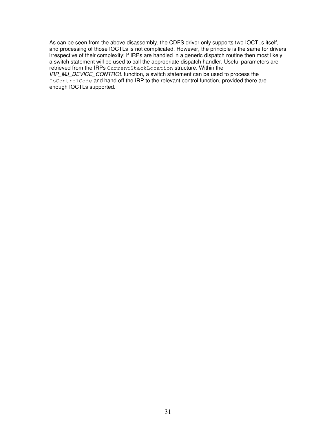As can be seen from the above disassembly, the CDFS driver only supports two IOCTLs itself, and processing of those IOCTLs is not complicated. However, the principle is the same for drivers irrespective of their complexity: if IRPs are handled in a generic dispatch routine then most likely a switch statement will be used to call the appropriate dispatch handler. Useful parameters are retrieved from the IRPs CurrentStackLocation structure. Within the IRP\_MJ\_DEVICE\_CONTROL function, a switch statement can be used to process the

IoControlCode and hand off the IRP to the relevant control function, provided there are enough IOCTLs supported.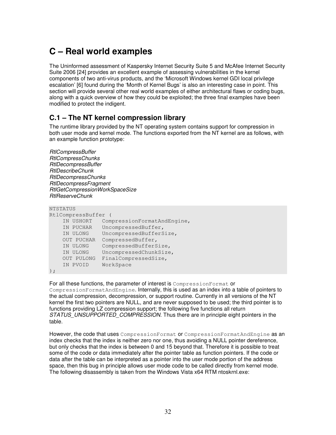# **C – Real world examples**

The Uninformed assessment of Kaspersky Internet Security Suite 5 and McAfee Internet Security Suite 2006 [24] provides an excellent example of assessing vulnerabilities in the kernel components of two anti-virus products, and the 'Microsoft Windows kernel GDI local privilege escalation' [6] found during the 'Month of Kernel Bugs' is also an interesting case in point. This section will provide several other real world examples of either architectural flaws or coding bugs, along with a quick overview of how they could be exploited; the three final examples have been modified to protect the indigent.

### **C.1 – The NT kernel compression library**

The runtime library provided by the NT operating system contains support for compression in both user mode and kernel mode. The functions exported from the NT kernel are as follows, with an example function prototype:

```
RtlCompressBuffer
```
RtlCompressChunks RtlDecompressBuffer RtlDescribeChunk RtlDecompressChunks RtlDecompressFragment RtlGetCompressionWorkSpaceSize RtlReserveChunk

```
NTSTATUS 
RtlCompressBuffer ( 
    IN USHORT CompressionFormatAndEngine, 
    IN PUCHAR UncompressedBuffer, 
    IN ULONG UncompressedBufferSize, 
    OUT PUCHAR CompressedBuffer, 
 IN ULONG CompressedBufferSize, 
 IN ULONG UncompressedChunkSize, 
    OUT PULONG FinalCompressedSize, 
    IN PVOID WorkSpace
```
 $)$ ;

For all these functions, the parameter of interest is CompressionFormat or CompressionFormatAndEngine. Internally, this is used as an index into a table of pointers to the actual compression, decompression, or support routine. Currently in all versions of the NT kernel the first two pointers are NULL, and are never supposed to be used; the third pointer is to functions providing LZ compression support; the following five functions all return STATUS UNSUPPORTED COMPRESSION. Thus there are in principle eight pointers in the table.

However, the code that uses CompressionFormat or CompressionFormatAndEngine as an index checks that the index is neither zero nor one, thus avoiding a NULL pointer dereference, but only checks that the index is between 0 and 15 beyond that. Therefore it is possible to treat some of the code or data immediately after the pointer table as function pointers. If the code or data after the table can be interpreted as a pointer into the user mode portion of the address space, then this bug in principle allows user mode code to be called directly from kernel mode. The following disassembly is taken from the Windows Vista x64 RTM ntoskrnl.exe: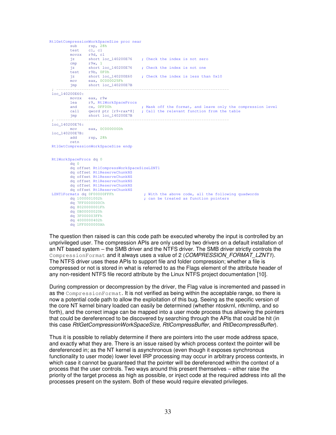```
RtlGetCompressionWorkSpaceSize proc near 
          sub rsp, 28h<br>test cl. cl
                    cl, cl movzx r9d, cl
           jz short loc_140200E76 ; Check the index is not zero 
           cmp r9w, 1
          jz short loc_140200E76 ; Check the index is not one test r9b. 0F0h
                    r9b, 0F0h<br>short loc_140200E60
          jz short loc_140200E60 ; Check the index is less than 0x10<br>mov eax. 0C000025Fb
                    eax, 0C000025Fh
           jmp short loc_140200E7B
 ; --------------------------------------------------------------------------- 
 \frac{\text{loc140200E60}}{\text{movzx}}eax, r9w
          lea r9, RtlWorkSpaceProcs<br>and cx, 0FF00h
          and cx, 0FF00h ; Mask off the format, and leave only the compression level<br>call qword ptr [r9+rax*8] : Call the relevant function from the table
                   qword ptr [r9+rax*8] ; Call the relevant function from the table
           jmp short loc_140200E7B
 ; --------------------------------------------------------------------------- 
 loc_140200E76: 
 mov eax, 0C000000Dh
loc_140200E7B: 
 add rsp, 28h
           retn 
 RtlGetCompressionWorkSpaceSize endp 
 RtlWorkSpaceProcs dq 0 
           dq 0 
           dq offset RtlCompressWorkSpaceSizeLZNT1 
           dq offset RtlReserveChunkNS 
           dq offset RtlReserveChunkNS 
           dq offset RtlReserveChunkNS 
           dq offset RtlReserveChunkNS 
 dq offset RtlReserveChunkNS<br>LZNTlFormats dq 0F00000FFFh
          % rmats dq 0F00000FFFh ; With the above code, all the following quadwords dq 1000001002h ; can be treated as function pointers
                                                ; can be treated as function pointers
           dq 7FF0000000Ch 
           dq 8020000001Fh 
           dq 0B00000020h 
           dq 3F000003FFh 
           dq 4000000402h 
           dq 1FF0000000Ah
```
The question then raised is can this code path be executed whereby the input is controlled by an unprivileged user. The compression APIs are only used by two drivers on a default installation of an NT based system – the SMB driver and the NTFS driver. The SMB driver strictly controls the CompressionFormat and it always uses a value of 2 (COMPRESSION FORMAT LZNT1). The NTFS driver uses these APIs to support file and folder compression; whether a file is compressed or not is stored in what is referred to as the Flags element of the attribute header of any non-resident NTFS file record attribute by the Linux NTFS project documentation [10].

During compression or decompression by the driver, the Flag value is incremented and passed in as the CompressionFormat. It is not verified as being within the acceptable range, so there is now a potential code path to allow the exploitation of this bug. Seeing as the specific version of the core NT kernel binary loaded can easily be determined (whether ntoskrnl, ntkrnlmp, and so forth), and the correct image can be mapped into a user mode process thus allowing the pointers that could be dereferenced to be discovered by searching through the APIs that could be hit (in this case RtlGetCompressionWorkSpaceSize, RtlCompressBuffer, and RtlDecompressBuffer).

Thus it is possible to reliably determine if there are pointers into the user mode address space, and exactly what they are. There is an issue raised by which process context the pointer will be dereferenced in; as the NT kernel is asynchronous (even though it exposes synchronous functionality to user mode) lower level IRP processing may occur in arbitrary process contexts, in which case it cannot be guaranteed that the pointer will be dereferenced within the context of a process that the user controls. Two ways around this present themselves – either raise the priority of the target process as high as possible, or inject code at the required address into all the processes present on the system. Both of these would require elevated privileges.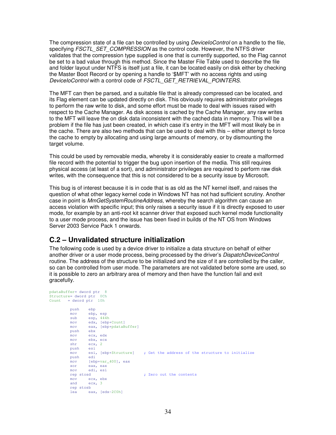The compression state of a file can be controlled by using *DeviceIoControl* on a handle to the file, specifying FSCTL\_SET\_COMPRESSION as the control code. However, the NTFS driver validates that the compression type supplied is one that is currently supported, so the Flag cannot be set to a bad value through this method. Since the Master File Table used to describe the file and folder layout under NTFS is itself just a file, it can be located easily on disk either by checking the Master Boot Record or by opening a handle to '\$MFT' with no access rights and using DeviceIoControl with a control code of FSCTL\_GET\_RETRIEVAL\_POINTERS.

The MFT can then be parsed, and a suitable file that is already compressed can be located, and its Flag element can be updated directly on disk. This obviously requires administrator privileges to perform the raw write to disk, and some effort must be made to deal with issues raised with respect to the Cache Manager. As disk access is cached by the Cache Manager, any raw writes to the MFT will leave the on disk data inconsistent with the cached data in memory. This will be a problem if the file has just been created, in which case it's entry in the MFT will most likely be in the cache. There are also two methods that can be used to deal with this – either attempt to force the cache to empty by allocating and using large amounts of memory, or by dismounting the target volume.

This could be used by removable media, whereby it is considerably easier to create a malformed file record with the potential to trigger the bug upon insertion of the media. This still requires physical access (at least of a sort), and administrator privileges are required to perform raw disk writes, with the consequence that this is not considered to be a security issue by Microsoft.

This bug is of interest because it is in code that is as old as the NT kernel itself, and raises the question of what other legacy kernel code in Windows NT has not had sufficient scrutiny. Another case in point is MmGetSystemRoutineAddress, whereby the search algorithm can cause an access violation with specific input; this only raises a security issue if it is directly exposed to user mode, for example by an anti-root kit scanner driver that exposed such kernel mode functionality to a user mode process, and the issue has been fixed in builds of the NT OS from Windows Server 2003 Service Pack 1 onwards.

### **C.2 – Unvalidated structure initialization**

The following code is used by a device driver to initialize a data structure on behalf of either another driver or a user mode process, being processed by the driver's *DispatchDeviceControl* routine. The address of the structure to be initialized and the size of it are controlled by the caller, so can be controlled from user mode. The parameters are not validated before some are used, so it is possible to zero an arbitrary area of memory and then have the function fail and exit gracefully.

```
pdataBuffer= dword ptr 8 
Structure= dword ptr 0Ch 
Count = dword ptr 10h 
       push ebp<br>mov ebp.
               ebp, esp
         sub esp, 444h
         mov edx, [ebp+Count]
         mov eax, [ebp+pdataBuffer]
        push
         mov ecx, edx
 mov ebx, ecx
 shr ecx, 2
        push esi<br>mov esi, [ebp+Structure]
         mov esi, [ebp+Structure] ; Get the address of the structure to initialize 
         push edi
        mov [ebp+var_400], eax
         xor eax, eax
         mov edi, esi
         rep stosd ; Zero out the contents 
         mov ecx, ebx
         and ecx, 3
         rep stosb 
         lea eax, [edx-2C0h]
```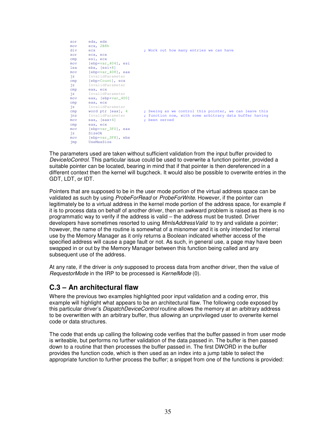| xor      | edx, edx              |                                                        |
|----------|-----------------------|--------------------------------------------------------|
| mov      | ecx, 2B8h             |                                                        |
| div      | ecx                   | ; Work out how many entries we can have                |
| xor      | ecx, ecx              |                                                        |
| cmp      | esi, ecx              |                                                        |
| mov      | [ebp+var 404], esi    |                                                        |
| lea      | $ebx$ , $[esi+8]$     |                                                        |
| mov      | [ebp+var 408], eax    |                                                        |
| iz       | InvalidParameter      |                                                        |
| cmp      | [ebp+Count], ecx      |                                                        |
| ήz       | InvalidParameter      |                                                        |
| cmp      | eax, ecx              |                                                        |
| iz       | InvalidParameter      |                                                        |
| mov      | eax, [ebp+var_400]    |                                                        |
| cmp      | eax, ecx              |                                                        |
| ήz       | InvalidParameter      |                                                        |
| cmp      | word ptr [eax], 4     | ; Seeing as we control this pointer, we can leave this |
| jnz      | InvalidParameter      | ; function now, with some arbitrary data buffer having |
| mov      | eax, $[ear+4]$        | : been zeroed                                          |
| cmp      | eax, ecx              |                                                        |
| mov      | [ebp+var 3F0], eax    |                                                        |
| ήz       | SizeOk                |                                                        |
| mov      | $[ebp+var_3F8]$ , ebx |                                                        |
| $\lim p$ | UseMaxSize            |                                                        |

The parameters used are taken without sufficient validation from the input buffer provided to DeviceIoControl. This particular issue could be used to overwrite a function pointer, provided a suitable pointer can be located, bearing in mind that if that pointer is then dereferenced in a different context then the kernel will bugcheck. It would also be possible to overwrite entries in the GDT, LDT, or IDT.

Pointers that are supposed to be in the user mode portion of the virtual address space can be validated as such by using ProbeForRead or ProbeForWrite. However, if the pointer can legitimately be to a virtual address in the kernel mode portion of the address space, for example if it is to process data on behalf of another driver, then an awkward problem is raised as there is no programmatic way to verify if the address is valid – the address must be trusted. Driver developers have sometimes resorted to using MmIsAddressValid to try and validate a pointer; however, the name of the routine is somewhat of a misnomer and it is only intended for internal use by the Memory Manager as it only returns a Boolean indicated whether access of the specified address will cause a page fault or not. As such, in general use, a page may have been swapped in or out by the Memory Manager between this function being called and any subsequent use of the address.

At any rate, if the driver is *only* supposed to process data from another driver, then the value of RequestorMode in the IRP to be processed is KernelMode (0).

### **C.3 – An architectural flaw**

Where the previous two examples highlighted poor input validation and a coding error, this example will highlight what appears to be an architectural flaw. The following code exposed by this particular driver's *DispatchDeviceControl* routine allows the memory at an arbitrary address to be overwritten with an arbitrary buffer, thus allowing an unprivileged user to overwrite kernel code or data structures.

The code that ends up calling the following code verifies that the buffer passed in from user mode is writeable, but performs no further validation of the data passed in. The buffer is then passed down to a routine that then processes the buffer passed in. The first DWORD in the buffer provides the function code, which is then used as an index into a jump table to select the appropriate function to further process the buffer; a snippet from one of the functions is provided: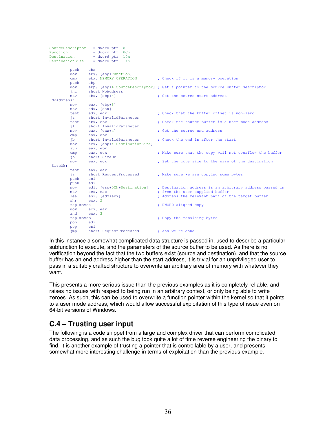```
SourceDescriptor = dword ptr 8 
Function = dword ptr 0Ch 
Destination = dword ptr 10h 
DestinationSize = dword ptr 14h 
          push ebx
         mov ebx, [esp+Function]<br>cmp ebx, MEMORY_OPERATION
         cmp ebx, MEMORY_OPERATION ; Check if it is a memory operation
          push ebp
          mov ebp, [esp+4+SourceDescriptor] ; Get a pointer to the source buffer descriptor 
         jnz short NoAddress<br>mov ebx, [ebp+4]
         mov ebx, [ebp+4] ; Get the source start address
NoAddress: 
         mov eax, [ebp+8]
         mov edx, [eax]<br>test edx, edx
         test edx, edx \qquad \qquad ; Check that the buffer offset is non-zero
         jz short InvalidParameter<br>test ebx, ebx
         test ebx, ebx<br>
il short InvalidParameter<br>
il short InvalidParameter<br>
il short InvalidParameter
         jl short InvalidParameter<br>mov eax, [eax+4]
         mov eax, [ear+4] ; Get the source end address cmp eax, ebx
                 eax, ebx<br>short InvalidParameter
         jb short InvalidParameter ; Check the end is after the start<br>mov ecx. [esp+4+DestinationSize]
                 ecx, [esp+4+DestinationSize]
          sub eax, ebx
         cmp eax, ecx ; Make sure that the copy will not overflow the buffer
          jb short SizeOk
         mov eax, ecx ; Set the copy size to the size of the destination
SizeOk: 
                 eax, eax<br>short RequestProcessed
         jz short RequestProcessed ; Make sure we are copying some bytes<br>push esi
         push esi<br>push edi
         push
          mov edi, [esp+0Ch+Destination] ; Destination address is an arbitrary address passed in 
         mov ecx, eax ; from the user supplied buffer<br>
1ea esi. [edx+ebx] ; Address the relevant part of
                                                ; Address the relevant part of the target buffer
         lea esi, [edx+ebx]<br>shr ecx, 2<br>rep movsd
                                                ; DWORD aligned copy
         mov ecx, eax<br>and ecx, 3
                 ecx, 3 rep movsb ; Copy the remaining bytes
          pop edi
         pop es
         imp short RequestProcessed ; And we're done
```
In this instance a somewhat complicated data structure is passed in, used to describe a particular subfunction to execute, and the parameters of the source buffer to be used. As there is no verification beyond the fact that the two buffers exist (source and destination), and that the source buffer has an end address higher than the start address, it is trivial for an unprivileged user to pass in a suitably crafted structure to overwrite an arbitrary area of memory with whatever they want.

This presents a more serious issue than the previous examples as it is completely reliable, and raises no issues with respect to being run in an arbitrary context, or only being able to write zeroes. As such, this can be used to overwrite a function pointer within the kernel so that it points to a user mode address, which would allow successful exploitation of this type of issue even on 64-bit versions of Windows.

### **C.4 – Trusting user input**

The following is a code snippet from a large and complex driver that can perform complicated data processing, and as such the bug took quite a lot of time reverse engineering the binary to find. It is another example of trusting a pointer that is controllable by a user, and presents somewhat more interesting challenge in terms of exploitation than the previous example.